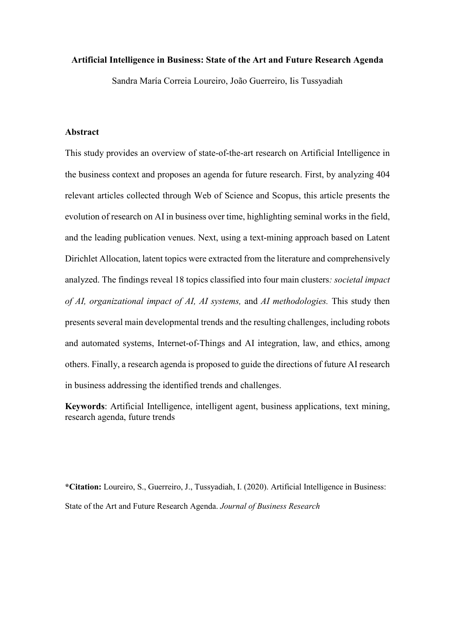#### **Artificial Intelligence in Business: State of the Art and Future Research Agenda**

Sandra María Correia Loureiro, João Guerreiro, Iis Tussyadiah

## **Abstract**

This study provides an overview of state-of-the-art research on Artificial Intelligence in the business context and proposes an agenda for future research. First, by analyzing 404 relevant articles collected through Web of Science and Scopus, this article presents the evolution of research on AI in business over time, highlighting seminal works in the field, and the leading publication venues. Next, using a text-mining approach based on Latent Dirichlet Allocation, latent topics were extracted from the literature and comprehensively analyzed. The findings reveal 18 topics classified into four main clusters*: societal impact of AI, organizational impact of AI, AI systems,* and *AI methodologies.* This study then presents several main developmental trends and the resulting challenges, including robots and automated systems, Internet-of-Things and AI integration, law, and ethics, among others. Finally, a research agenda is proposed to guide the directions of future AI research in business addressing the identified trends and challenges.

**Keywords**: Artificial Intelligence, intelligent agent, business applications, text mining, research agenda, future trends

**\*Citation:** Loureiro, S., Guerreiro, J., Tussyadiah, I. (2020). Artificial Intelligence in Business: State of the Art and Future Research Agenda. *Journal of Business Research*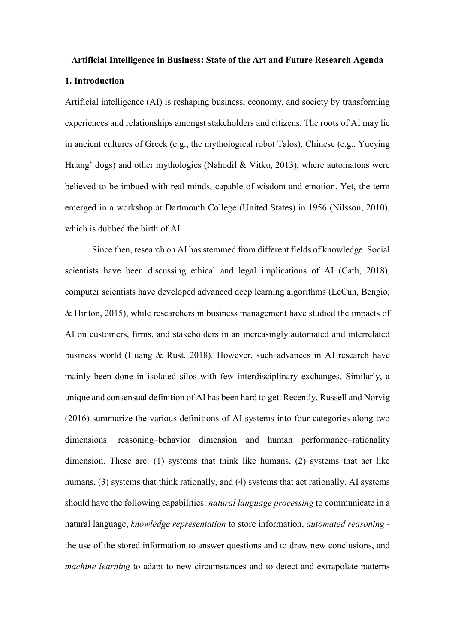# **Artificial Intelligence in Business: State of the Art and Future Research Agenda**

## **1. Introduction**

Artificial intelligence (AI) is reshaping business, economy, and society by transforming experiences and relationships amongst stakeholders and citizens. The roots of AI may lie in ancient cultures of Greek (e.g., the mythological robot Talos), Chinese (e.g., Yueying Huang' dogs) and other mythologies (Nahodil & Vitku, 2013), where automatons were believed to be imbued with real minds, capable of wisdom and emotion. Yet, the term emerged in a workshop at Dartmouth College (United States) in 1956 (Nilsson, 2010), which is dubbed the birth of AI.

Since then, research on AI has stemmed from different fields of knowledge. Social scientists have been discussing ethical and legal implications of AI (Cath, 2018), computer scientists have developed advanced deep learning algorithms (LeCun, Bengio, & Hinton, 2015), while researchers in business management have studied the impacts of AI on customers, firms, and stakeholders in an increasingly automated and interrelated business world (Huang & Rust, 2018). However, such advances in AI research have mainly been done in isolated silos with few interdisciplinary exchanges. Similarly, a unique and consensual definition of AI has been hard to get. Recently, Russell and Norvig (2016) summarize the various definitions of AI systems into four categories along two dimensions: reasoning–behavior dimension and human performance–rationality dimension. These are: (1) systems that think like humans, (2) systems that act like humans, (3) systems that think rationally, and (4) systems that act rationally. AI systems should have the following capabilities: *natural language processing* to communicate in a natural language, *knowledge representation* to store information, *automated reasoning*  the use of the stored information to answer questions and to draw new conclusions, and *machine learning* to adapt to new circumstances and to detect and extrapolate patterns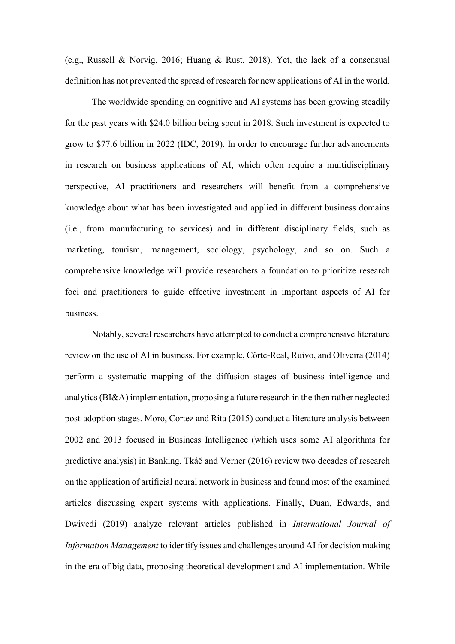(e.g., Russell & Norvig, 2016; Huang & Rust, 2018). Yet, the lack of a consensual definition has not prevented the spread of research for new applications of AI in the world.

The worldwide spending on cognitive and AI systems has been growing steadily for the past years with \$24.0 billion being spent in 2018. Such investment is expected to grow to \$77.6 billion in 2022 (IDC, 2019). In order to encourage further advancements in research on business applications of AI, which often require a multidisciplinary perspective, AI practitioners and researchers will benefit from a comprehensive knowledge about what has been investigated and applied in different business domains (i.e., from manufacturing to services) and in different disciplinary fields, such as marketing, tourism, management, sociology, psychology, and so on. Such a comprehensive knowledge will provide researchers a foundation to prioritize research foci and practitioners to guide effective investment in important aspects of AI for business.

Notably, several researchers have attempted to conduct a comprehensive literature review on the use of AI in business. For example, Côrte-Real, Ruivo, and Oliveira (2014) perform a systematic mapping of the diffusion stages of business intelligence and analytics (BI&A) implementation, proposing a future research in the then rather neglected post-adoption stages. Moro, Cortez and Rita (2015) conduct a literature analysis between 2002 and 2013 focused in Business Intelligence (which uses some AI algorithms for predictive analysis) in Banking. Tkáč and Verner (2016) review two decades of research on the application of artificial neural network in business and found most of the examined articles discussing expert systems with applications. Finally, Duan, Edwards, and Dwivedi (2019) analyze relevant articles published in *International Journal of Information Management* to identify issues and challenges around AI for decision making in the era of big data, proposing theoretical development and AI implementation. While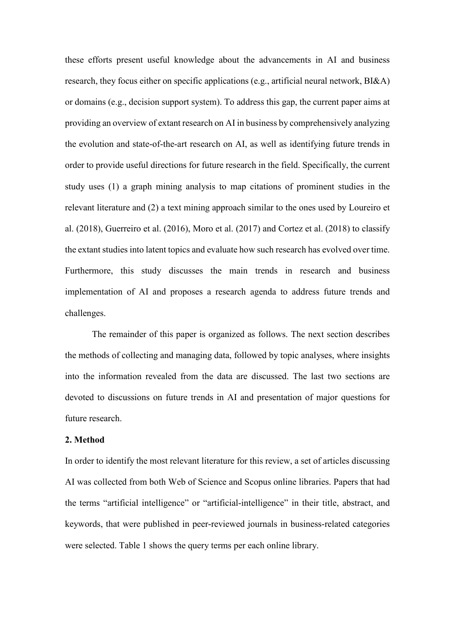these efforts present useful knowledge about the advancements in AI and business research, they focus either on specific applications (e.g., artificial neural network, BI&A) or domains (e.g., decision support system). To address this gap, the current paper aims at providing an overview of extant research on AI in business by comprehensively analyzing the evolution and state-of-the-art research on AI, as well as identifying future trends in order to provide useful directions for future research in the field. Specifically, the current study uses (1) a graph mining analysis to map citations of prominent studies in the relevant literature and (2) a text mining approach similar to the ones used by Loureiro et al. (2018), Guerreiro et al. (2016), Moro et al. (2017) and Cortez et al. (2018) to classify the extant studies into latent topics and evaluate how such research has evolved over time. Furthermore, this study discusses the main trends in research and business implementation of AI and proposes a research agenda to address future trends and challenges.

The remainder of this paper is organized as follows. The next section describes the methods of collecting and managing data, followed by topic analyses, where insights into the information revealed from the data are discussed. The last two sections are devoted to discussions on future trends in AI and presentation of major questions for future research.

#### **2. Method**

In order to identify the most relevant literature for this review, a set of articles discussing AI was collected from both Web of Science and Scopus online libraries. Papers that had the terms "artificial intelligence" or "artificial-intelligence" in their title, abstract, and keywords, that were published in peer-reviewed journals in business-related categories were selected. Table 1 shows the query terms per each online library.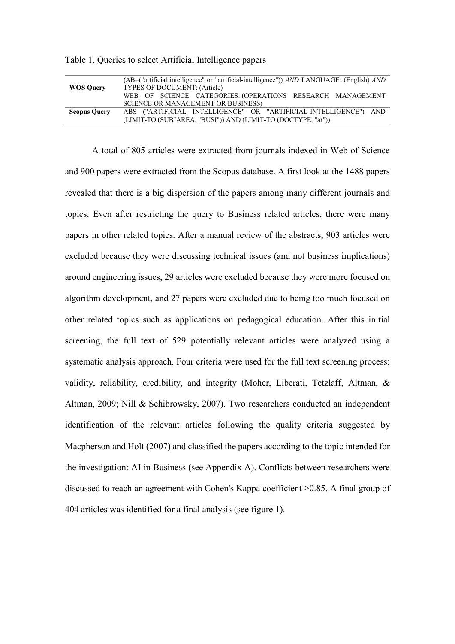| <b>WOS Ouery</b>    | (AB=("artificial intelligence" or "artificial-intelligence")) AND LANGUAGE: (English) AND<br>TYPES OF DOCUMENT: (Article) |
|---------------------|---------------------------------------------------------------------------------------------------------------------------|
|                     | WEB OF SCIENCE CATEGORIES: (OPERATIONS RESEARCH MANAGEMENT<br>SCIENCE OR MANAGEMENT OR BUSINESS)                          |
| <b>Scopus Query</b> | ABS ("ARTIFICIAL INTELLIGENCE" OR "ARTIFICIAL-INTELLIGENCE") AND                                                          |
|                     | (LIMIT-TO (SUBJAREA, "BUSI")) AND (LIMIT-TO (DOCTYPE, "ar"))                                                              |

Table 1. Queries to select Artificial Intelligence papers

A total of 805 articles were extracted from journals indexed in Web of Science and 900 papers were extracted from the Scopus database. A first look at the 1488 papers revealed that there is a big dispersion of the papers among many different journals and topics. Even after restricting the query to Business related articles, there were many papers in other related topics. After a manual review of the abstracts, 903 articles were excluded because they were discussing technical issues (and not business implications) around engineering issues, 29 articles were excluded because they were more focused on algorithm development, and 27 papers were excluded due to being too much focused on other related topics such as applications on pedagogical education. After this initial screening, the full text of 529 potentially relevant articles were analyzed using a systematic analysis approach. Four criteria were used for the full text screening process: validity, reliability, credibility, and integrity (Moher, Liberati, Tetzlaff, Altman, & Altman, 2009; Nill & Schibrowsky, 2007). Two researchers conducted an independent identification of the relevant articles following the quality criteria suggested by Macpherson and Holt (2007) and classified the papers according to the topic intended for the investigation: AI in Business (see Appendix A). Conflicts between researchers were discussed to reach an agreement with Cohen's Kappa coefficient >0.85. A final group of 404 articles was identified for a final analysis (see figure 1).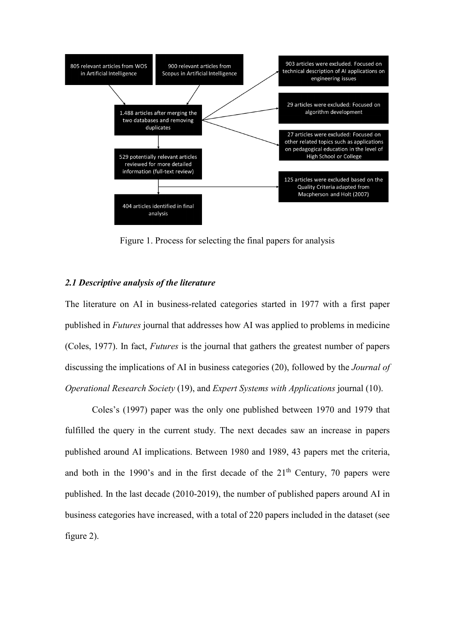

Figure 1. Process for selecting the final papers for analysis

### *2.1 Descriptive analysis of the literature*

The literature on AI in business-related categories started in 1977 with a first paper published in *Futures* journal that addresses how AI was applied to problems in medicine (Coles, 1977). In fact, *Futures* is the journal that gathers the greatest number of papers discussing the implications of AI in business categories (20), followed by the *Journal of Operational Research Society* (19), and *Expert Systems with Applications* journal (10).

Coles's (1997) paper was the only one published between 1970 and 1979 that fulfilled the query in the current study. The next decades saw an increase in papers published around AI implications. Between 1980 and 1989, 43 papers met the criteria, and both in the 1990's and in the first decade of the  $21<sup>th</sup>$  Century, 70 papers were published. In the last decade (2010-2019), the number of published papers around AI in business categories have increased, with a total of 220 papers included in the dataset (see figure 2).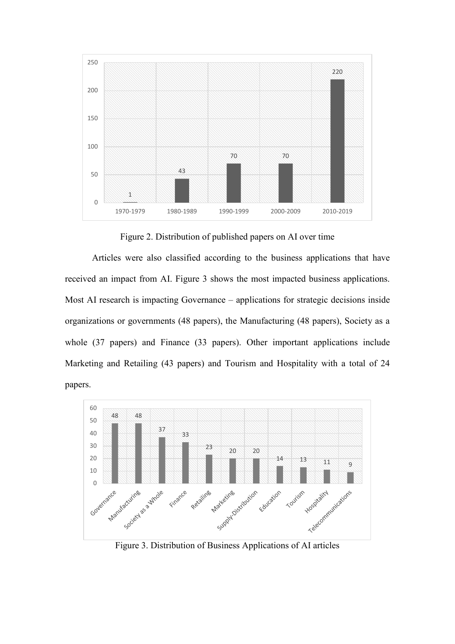

Figure 2. Distribution of published papers on AI over time

Articles were also classified according to the business applications that have received an impact from AI. Figure 3 shows the most impacted business applications. Most AI research is impacting Governance – applications for strategic decisions inside organizations or governments (48 papers), the Manufacturing (48 papers), Society as a whole (37 papers) and Finance (33 papers). Other important applications include Marketing and Retailing (43 papers) and Tourism and Hospitality with a total of 24 papers.



Figure 3. Distribution of Business Applications of AI articles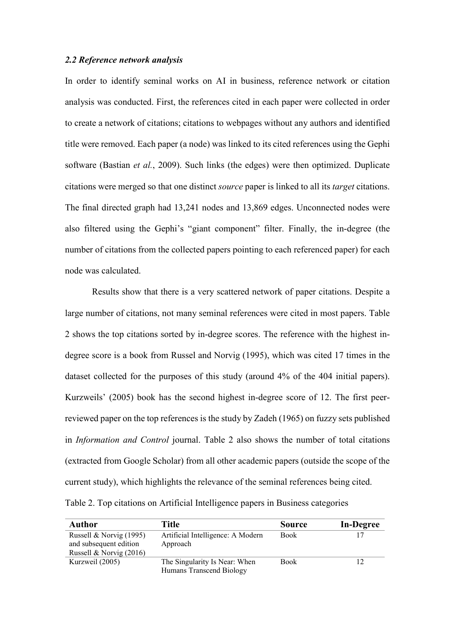### *2.2 Reference network analysis*

In order to identify seminal works on AI in business, reference network or citation analysis was conducted. First, the references cited in each paper were collected in order to create a network of citations; citations to webpages without any authors and identified title were removed. Each paper (a node) was linked to its cited references using the Gephi software (Bastian *et al.*, 2009). Such links (the edges) were then optimized. Duplicate citations were merged so that one distinct *source* paper is linked to all its *target* citations. The final directed graph had 13,241 nodes and 13,869 edges. Unconnected nodes were also filtered using the Gephi's "giant component" filter. Finally, the in-degree (the number of citations from the collected papers pointing to each referenced paper) for each node was calculated.

Results show that there is a very scattered network of paper citations. Despite a large number of citations, not many seminal references were cited in most papers. Table 2 shows the top citations sorted by in-degree scores. The reference with the highest indegree score is a book from Russel and Norvig (1995), which was cited 17 times in the dataset collected for the purposes of this study (around 4% of the 404 initial papers). Kurzweils' (2005) book has the second highest in-degree score of 12. The first peerreviewed paper on the top references is the study by Zadeh (1965) on fuzzy sets published in *Information and Control* journal. Table 2 also shows the number of total citations (extracted from Google Scholar) from all other academic papers (outside the scope of the current study), which highlights the relevance of the seminal references being cited. Table 2. Top citations on Artificial Intelligence papers in Business categories

| Author                    | Title                             | <b>Source</b> | <b>In-Degree</b> |
|---------------------------|-----------------------------------|---------------|------------------|
| Russell & Norvig (1995)   | Artificial Intelligence: A Modern | <b>Book</b>   |                  |
| and subsequent edition    | Approach                          |               |                  |
| Russell & Norvig $(2016)$ |                                   |               |                  |
| Kurzweil (2005)           | The Singularity Is Near: When     | <b>Book</b>   | $\cap$           |
|                           | Humans Transcend Biology          |               |                  |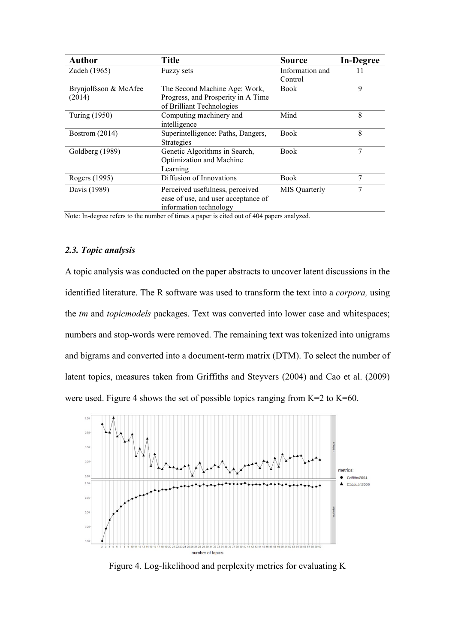| <b>Author</b>         | <b>Title</b>                        | <b>Source</b>   | <b>In-Degree</b> |
|-----------------------|-------------------------------------|-----------------|------------------|
| Zadeh (1965)          | Fuzzy sets                          | Information and | 11               |
|                       |                                     | Control         |                  |
| Brynjolfsson & McAfee | The Second Machine Age: Work,       | <b>Book</b>     | 9                |
| (2014)                | Progress, and Prosperity in A Time  |                 |                  |
|                       | of Brilliant Technologies           |                 |                  |
| Turing (1950)         | Computing machinery and             | Mind            | 8                |
|                       | intelligence                        |                 |                  |
| Bostrom (2014)        | Superintelligence: Paths, Dangers,  | Book            | 8                |
|                       | Strategies                          |                 |                  |
| Goldberg (1989)       | Genetic Algorithms in Search,       | Book            |                  |
|                       | Optimization and Machine            |                 |                  |
|                       | Learning                            |                 |                  |
| Rogers (1995)         | Diffusion of Innovations            | <b>Book</b>     | 7                |
| Davis (1989)          | Perceived usefulness, perceived     | MIS Quarterly   |                  |
|                       | ease of use, and user acceptance of |                 |                  |
|                       | information technology              |                 |                  |

Note: In-degree refers to the number of times a paper is cited out of 404 papers analyzed.

## *2.3. Topic analysis*

A topic analysis was conducted on the paper abstracts to uncover latent discussions in the identified literature. The R software was used to transform the text into a *corpora,* using the *tm* and *topicmodels* packages. Text was converted into lower case and whitespaces; numbers and stop-words were removed. The remaining text was tokenized into unigrams and bigrams and converted into a document-term matrix (DTM). To select the number of latent topics, measures taken from Griffiths and Steyvers (2004) and Cao et al. (2009) were used. Figure 4 shows the set of possible topics ranging from  $K=2$  to  $K=60$ .



Figure 4. Log-likelihood and perplexity metrics for evaluating K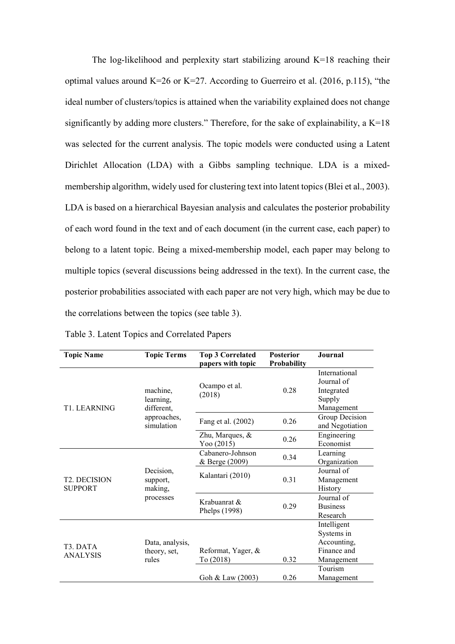The log-likelihood and perplexity start stabilizing around  $K=18$  reaching their optimal values around K=26 or K=27. According to Guerreiro et al. (2016, p.115), "the ideal number of clusters/topics is attained when the variability explained does not change significantly by adding more clusters." Therefore, for the sake of explainability, a  $K=18$ was selected for the current analysis. The topic models were conducted using a Latent Dirichlet Allocation (LDA) with a Gibbs sampling technique. LDA is a mixedmembership algorithm, widely used for clustering text into latent topics (Blei et al., 2003). LDA is based on a hierarchical Bayesian analysis and calculates the posterior probability of each word found in the text and of each document (in the current case, each paper) to belong to a latent topic. Being a mixed-membership model, each paper may belong to multiple topics (several discussions being addressed in the text). In the current case, the posterior probabilities associated with each paper are not very high, which may be due to the correlations between the topics (see table 3).

| <b>Topic Name</b>                        | <b>Topic Terms</b>    | <b>Top 3 Correlated</b>       | <b>Posterior</b>   | Journal         |
|------------------------------------------|-----------------------|-------------------------------|--------------------|-----------------|
|                                          |                       | papers with topic             | <b>Probability</b> |                 |
|                                          |                       |                               |                    | International   |
|                                          |                       | Ocampo et al.                 |                    | Journal of      |
|                                          | machine,              | (2018)                        | 0.28               | Integrated      |
|                                          | learning,             |                               |                    | Supply          |
| T1. LEARNING                             | different,            |                               |                    | Management      |
|                                          | approaches,           | Fang et al. (2002)            | 0.26               | Group Decision  |
|                                          | simulation            |                               |                    | and Negotiation |
|                                          |                       | Zhu, Marques, &               | 0.26               | Engineering     |
|                                          |                       | Yoo $(2015)$                  |                    | Economist       |
|                                          | Decision.<br>support, | Cabanero-Johnson              | 0.34               | Learning        |
|                                          |                       | & Berge (2009)                |                    | Organization    |
|                                          |                       | Kalantari (2010)              | 0.31               | Journal of      |
| <b>T2. DECISION</b>                      |                       |                               |                    | Management      |
| <b>SUPPORT</b>                           | making,               |                               |                    | History         |
|                                          | processes             | Krabuanrat &<br>Phelps (1998) |                    | Journal of      |
|                                          |                       |                               | 0.29               | <b>Business</b> |
|                                          |                       |                               |                    | Research        |
|                                          |                       |                               |                    | Intelligent     |
|                                          |                       |                               |                    | Systems in      |
|                                          | Data, analysis,       |                               |                    | Accounting,     |
| T <sub>3</sub> . DATA<br><b>ANALYSIS</b> | theory, set,          | Reformat, Yager, &            |                    | Finance and     |
|                                          | rules                 | To (2018)                     | 0.32               | Management      |
|                                          |                       |                               |                    | Tourism         |
|                                          |                       | Goh & Law (2003)              | 0.26               | Management      |

Table 3. Latent Topics and Correlated Papers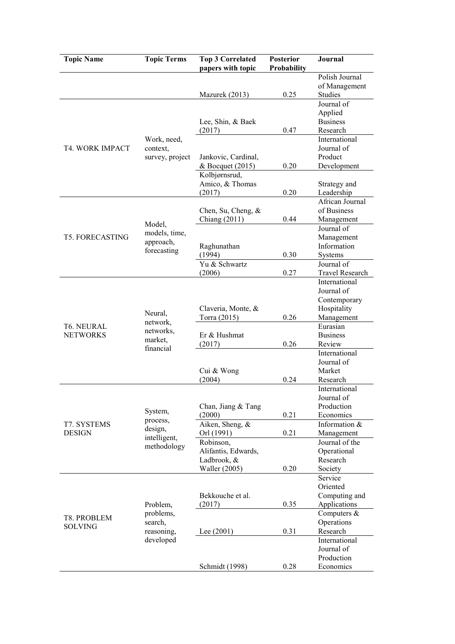| <b>Topic Name</b>                    | <b>Topic Terms</b>                                       | <b>Top 3 Correlated</b><br>papers with topic         | <b>Posterior</b><br>Probability | Journal                                              |
|--------------------------------------|----------------------------------------------------------|------------------------------------------------------|---------------------------------|------------------------------------------------------|
|                                      |                                                          | Mazurek (2013)                                       | 0.25                            | Polish Journal<br>of Management<br><b>Studies</b>    |
|                                      |                                                          | Lee, Shin, & Baek<br>(2017)                          | 0.47                            | Journal of<br>Applied<br><b>Business</b><br>Research |
| <b>T4. WORK IMPACT</b>               | Work, need,<br>context,<br>survey, project               | Jankovic, Cardinal,                                  |                                 | International<br>Journal of<br>Product               |
|                                      |                                                          | & Bocquet (2015)<br>Kolbjørnsrud,<br>Amico, & Thomas | 0.20                            | Development<br>Strategy and                          |
|                                      |                                                          | (2017)<br>Chen, Su, Cheng, &                         | 0.20                            | Leadership<br>African Journal<br>of Business         |
|                                      | Model,<br>models, time,                                  | Chiang (2011)                                        | 0.44                            | Management<br>Journal of                             |
| <b>T5. FORECASTING</b>               | approach,<br>forecasting                                 | Raghunathan<br>(1994)                                | 0.30                            | Management<br>Information<br>Systems                 |
|                                      |                                                          | Yu & Schwartz<br>(2006)                              | 0.27                            | Journal of<br>Travel Research<br>International       |
|                                      | Neural,<br>network,<br>networks,<br>market.<br>financial | Claveria, Monte, &                                   |                                 | Journal of<br>Contemporary<br>Hospitality            |
| <b>T6. NEURAL</b><br><b>NETWORKS</b> |                                                          | Torra (2015)<br>Er & Hushmat                         | 0.26                            | Management<br>Eurasian<br><b>Business</b>            |
|                                      |                                                          | (2017)                                               | 0.26                            | Review<br>International<br>Journal of                |
|                                      |                                                          | Cui & Wong<br>(2004)                                 | 0.24                            | Market<br>Research<br>International                  |
|                                      | System,                                                  | Chan, Jiang & Tang<br>(2000)                         | 0.21                            | Journal of<br>Production<br>Economics                |
| T7. SYSTEMS<br><b>DESIGN</b>         | process,<br>design,<br>intelligent,<br>methodology       | Aiken, Sheng, &<br>Orl (1991)                        | 0.21                            | Information &<br>Management                          |
|                                      |                                                          | Robinson,<br>Alifantis, Edwards,<br>Ladbrook, &      | 0.20                            | Journal of the<br>Operational<br>Research            |
|                                      |                                                          | <b>Waller</b> (2005)                                 |                                 | Society<br>Service<br>Oriented                       |
| T8. PROBLEM                          | Problem,<br>problems,                                    | Bekkouche et al.<br>(2017)                           | 0.35                            | Computing and<br>Applications<br>Computers &         |
| <b>SOLVING</b>                       | search,<br>reasoning,<br>developed                       | Lee $(2001)$                                         | 0.31                            | Operations<br>Research<br>International              |
|                                      |                                                          | Schmidt (1998)                                       | 0.28                            | Journal of<br>Production<br>Economics                |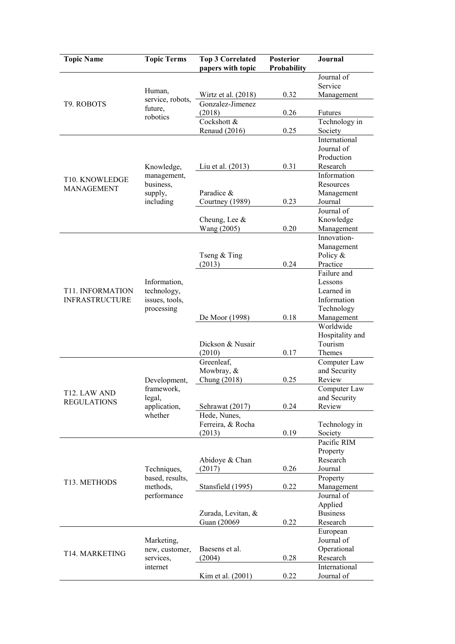| <b>Topic Name</b>         | <b>Topic Terms</b>                                    | <b>Top 3 Correlated</b><br>papers with topic | <b>Posterior</b><br>Probability | <b>Journal</b>             |
|---------------------------|-------------------------------------------------------|----------------------------------------------|---------------------------------|----------------------------|
|                           |                                                       |                                              |                                 | Journal of                 |
|                           | Human,                                                |                                              |                                 | Service                    |
| T9. ROBOTS                | service, robots,                                      | Wirtz et al. $(2018)$<br>Gonzalez-Jimenez    | 0.32                            | Management                 |
|                           | future,                                               | (2018)                                       | 0.26                            | Futures                    |
|                           | robotics                                              | Cockshott &                                  |                                 | Technology in              |
|                           |                                                       | Renaud (2016)                                | 0.25                            | Society                    |
|                           |                                                       |                                              |                                 | International              |
|                           |                                                       |                                              |                                 | Journal of                 |
|                           |                                                       |                                              |                                 | Production                 |
|                           | Knowledge,                                            | Liu et al. (2013)                            | 0.31                            | Research                   |
| T10. KNOWLEDGE            | management,<br>business,                              |                                              |                                 | Information<br>Resources   |
| <b>MANAGEMENT</b>         | supply,                                               | Paradice &                                   |                                 | Management                 |
|                           | including                                             | Courtney (1989)                              | 0.23                            | Journal                    |
|                           |                                                       |                                              |                                 | Journal of                 |
|                           |                                                       | Cheung, Lee $&$                              |                                 | Knowledge                  |
|                           |                                                       | Wang (2005)                                  | 0.20                            | Management                 |
|                           |                                                       |                                              |                                 | Innovation-                |
|                           |                                                       |                                              |                                 | Management                 |
|                           |                                                       | Tseng & Ting                                 | 0.24                            | Policy &<br>Practice       |
|                           |                                                       | (2013)                                       |                                 | Failure and                |
|                           | Information,                                          |                                              |                                 | Lessons                    |
| <b>T11. INFORMATION</b>   | technology,                                           |                                              |                                 | Learned in                 |
| <b>INFRASTRUCTURE</b>     | issues, tools,                                        |                                              |                                 | Information                |
|                           | processing                                            |                                              |                                 | Technology                 |
|                           |                                                       | De Moor (1998)                               | 0.18                            | Management                 |
|                           |                                                       |                                              |                                 | Worldwide                  |
|                           |                                                       | Dickson & Nusair                             |                                 | Hospitality and<br>Tourism |
|                           |                                                       | (2010)                                       | 0.17                            | Themes                     |
|                           |                                                       | Greenleaf,                                   |                                 | Computer Law               |
|                           |                                                       | Mowbray, &                                   |                                 | and Security               |
|                           | Development,                                          | Chung (2018)                                 | 0.25                            | Review                     |
| T <sub>12</sub> . LAW AND | framework,                                            |                                              |                                 | Computer Law               |
| <b>REGULATIONS</b>        | legal,                                                |                                              |                                 | and Security               |
|                           | application,                                          | Sehrawat (2017)                              | 0.24                            | Review                     |
|                           | whether                                               | Hede, Nunes,<br>Ferreira, & Rocha            |                                 |                            |
|                           |                                                       | (2013)                                       | 0.19                            | Technology in<br>Society   |
|                           |                                                       |                                              |                                 | Pacific RIM                |
|                           |                                                       |                                              |                                 | Property                   |
|                           |                                                       | Abidoye & Chan                               |                                 | Research                   |
|                           | Techniques,                                           | (2017)                                       | 0.26                            | Journal                    |
| T13. METHODS              | based, results,                                       |                                              |                                 | Property                   |
|                           | methods,                                              | Stansfield (1995)                            | 0.22                            | Management                 |
|                           | performance                                           |                                              |                                 | Journal of<br>Applied      |
|                           |                                                       | Zurada, Levitan, &                           |                                 | <b>Business</b>            |
|                           |                                                       | Guan (20069)                                 | 0.22                            | Research                   |
|                           |                                                       |                                              |                                 | European                   |
|                           | Marketing,<br>new, customer,<br>services,<br>internet |                                              |                                 | Journal of                 |
| T14. MARKETING            |                                                       | Baesens et al.                               |                                 | Operational                |
|                           |                                                       | (2004)                                       | 0.28                            | Research                   |
|                           |                                                       |                                              |                                 | International              |
|                           |                                                       | Kim et al. (2001)                            | 0.22                            | Journal of                 |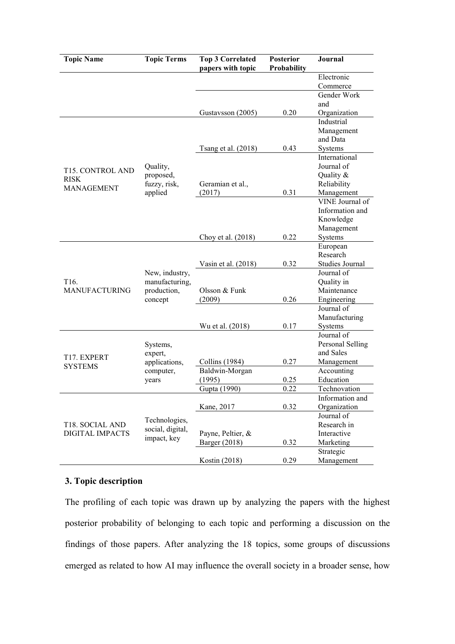| <b>Topic Name</b>                  | <b>Topic Terms</b> | <b>Top 3 Correlated</b> | <b>Posterior</b> | Journal          |
|------------------------------------|--------------------|-------------------------|------------------|------------------|
|                                    |                    | papers with topic       | Probability      |                  |
|                                    |                    |                         |                  | Electronic       |
|                                    |                    |                         |                  | Commerce         |
|                                    |                    |                         |                  | Gender Work      |
|                                    |                    |                         |                  | and              |
|                                    |                    | Gustavsson (2005)       | 0.20             | Organization     |
|                                    |                    |                         |                  | Industrial       |
|                                    |                    |                         |                  | Management       |
|                                    |                    |                         |                  | and Data         |
|                                    |                    | Tsang et al. (2018)     | 0.43             | Systems          |
|                                    |                    |                         |                  | International    |
| T15. CONTROL AND                   | Quality,           |                         |                  | Journal of       |
| <b>RISK</b>                        | proposed,          |                         |                  | Quality &        |
| <b>MANAGEMENT</b>                  | fuzzy, risk,       | Geramian et al.,        |                  | Reliability      |
|                                    | applied            | (2017)                  | 0.31             | Management       |
|                                    |                    |                         |                  | VINE Journal of  |
|                                    |                    |                         |                  | Information and  |
|                                    |                    |                         |                  | Knowledge        |
|                                    |                    |                         |                  | Management       |
|                                    |                    | Choy et al. (2018)      | 0.22             | Systems          |
|                                    |                    |                         |                  | European         |
|                                    |                    |                         |                  | Research         |
|                                    |                    | Vasin et al. $(2018)$   | 0.32             | Studies Journal  |
|                                    | New, industry,     |                         |                  | Journal of       |
| T <sub>16</sub> .                  | manufacturing,     |                         |                  | Quality in       |
| <b>MANUFACTURING</b>               | production,        | Olsson & Funk           |                  | Maintenance      |
|                                    | concept            | (2009)                  | 0.26             | Engineering      |
|                                    |                    |                         |                  | Journal of       |
|                                    |                    |                         |                  | Manufacturing    |
|                                    |                    | Wu et al. (2018)        | 0.17             | Systems          |
|                                    |                    |                         |                  | Journal of       |
|                                    | Systems,           |                         |                  | Personal Selling |
| T17. EXPERT                        | expert,            |                         |                  | and Sales        |
| <b>SYSTEMS</b>                     | applications,      | Collins (1984)          | 0.27             | Management       |
|                                    | computer,          | Baldwin-Morgan          |                  | Accounting       |
|                                    | years              | (1995)                  | 0.25             | Education        |
|                                    |                    | Gupta (1990)            | 0.22             | Technovation     |
|                                    |                    |                         |                  | Information and  |
| T18. SOCIAL AND<br>DIGITAL IMPACTS |                    | Kane, 2017              | 0.32             | Organization     |
|                                    | Technologies,      |                         |                  | Journal of       |
|                                    | social, digital,   |                         |                  | Research in      |
|                                    | impact, key        | Payne, Peltier, &       |                  | Interactive      |
|                                    |                    | Barger (2018)           | 0.32             | Marketing        |
|                                    |                    |                         |                  | Strategic        |
|                                    |                    | Kostin (2018)           | 0.29             | Management       |

## **3. Topic description**

The profiling of each topic was drawn up by analyzing the papers with the highest posterior probability of belonging to each topic and performing a discussion on the findings of those papers. After analyzing the 18 topics, some groups of discussions emerged as related to how AI may influence the overall society in a broader sense, how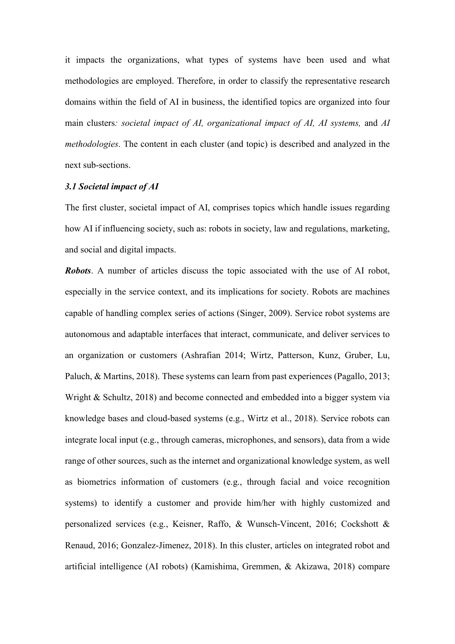it impacts the organizations, what types of systems have been used and what methodologies are employed. Therefore, in order to classify the representative research domains within the field of AI in business, the identified topics are organized into four main clusters*: societal impact of AI, organizational impact of AI, AI systems,* and *AI methodologies*. The content in each cluster (and topic) is described and analyzed in the next sub-sections.

#### *3.1 Societal impact of AI*

The first cluster, societal impact of AI, comprises topics which handle issues regarding how AI if influencing society, such as: robots in society, law and regulations, marketing, and social and digital impacts.

*Robots*. A number of articles discuss the topic associated with the use of AI robot, especially in the service context, and its implications for society. Robots are machines capable of handling complex series of actions (Singer, 2009). Service robot systems are autonomous and adaptable interfaces that interact, communicate, and deliver services to an organization or customers (Ashrafian 2014; Wirtz, Patterson, Kunz, Gruber, Lu, Paluch, & Martins, 2018). These systems can learn from past experiences (Pagallo, 2013; Wright & Schultz, 2018) and become connected and embedded into a bigger system via knowledge bases and cloud-based systems (e.g., Wirtz et al., 2018). Service robots can integrate local input (e.g., through cameras, microphones, and sensors), data from a wide range of other sources, such as the internet and organizational knowledge system, as well as biometrics information of customers (e.g., through facial and voice recognition systems) to identify a customer and provide him/her with highly customized and personalized services (e.g., Keisner, Raffo, & Wunsch-Vincent, 2016; Cockshott & Renaud, 2016; Gonzalez-Jimenez, 2018). In this cluster, articles on integrated robot and artificial intelligence (AI robots) (Kamishima, Gremmen, & Akizawa, 2018) compare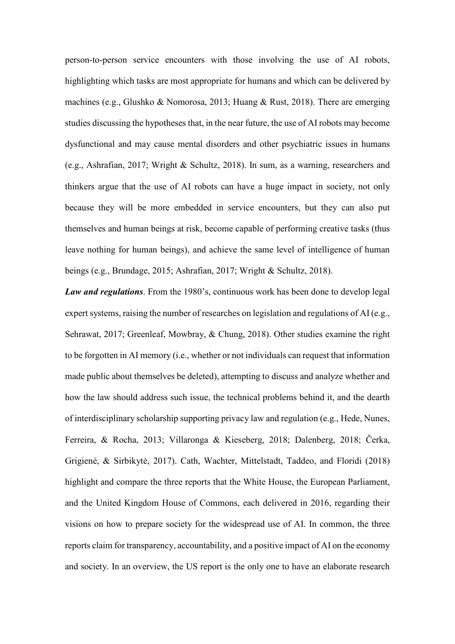person-to-person service encounters with those involving the use of AI robots, highlighting which tasks are most appropriate for humans and which can be delivered by machines (e.g., Glushko & Nomorosa, 2013; Huang & Rust, 2018). There are emerging studies discussing the hypotheses that, in the near future, the use of AI robots may become dysfunctional and may cause mental disorders and other psychiatric issues in humans (e.g., Ashrafian, 2017; Wright & Schultz, 2018). In sum, as a warning, researchers and thinkers argue that the use of AI robots can have a huge impact in society, not only because they will be more embedded in service encounters, but they can also put themselves and human beings at risk, become capable of performing creative tasks (thus leave nothing for human beings), and achieve the same level of intelligence of human beings (e.g., Brundage, 2015; Ashrafian, 2017; Wright & Schultz, 2018).

*Law and regulations*. From the 1980's, continuous work has been done to develop legal expert systems, raising the number of researches on legislation and regulations of AI (e.g., Sehrawat, 2017; Greenleaf, Mowbray, & Chung, 2018). Other studies examine the right to be forgotten in AI memory (i.e., whether or not individuals can request that information made public about themselves be deleted), attempting to discuss and analyze whether and how the law should address such issue, the technical problems behind it, and the dearth of interdisciplinary scholarship supporting privacy law and regulation (e.g., Hede, Nunes, Ferreira, & Rocha, 2013; Villaronga & Kieseberg, 2018; Dalenberg, 2018; Čerka, Grigienė, & Sirbikytė, 2017). Cath, Wachter, Mittelstadt, Taddeo, and Floridi (2018) highlight and compare the three reports that the White House, the European Parliament, and the United Kingdom House of Commons, each delivered in 2016, regarding their visions on how to prepare society for the widespread use of AI. In common, the three reports claim for transparency, accountability, and a positive impact of AI on the economy and society. In an overview, the US report is the only one to have an elaborate research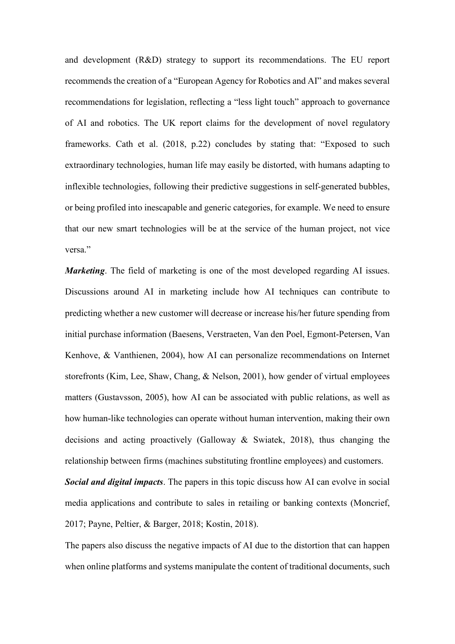and development (R&D) strategy to support its recommendations. The EU report recommends the creation of a "European Agency for Robotics and AI" and makes several recommendations for legislation, reflecting a "less light touch" approach to governance of AI and robotics. The UK report claims for the development of novel regulatory frameworks. Cath et al. (2018, p.22) concludes by stating that: "Exposed to such extraordinary technologies, human life may easily be distorted, with humans adapting to inflexible technologies, following their predictive suggestions in self-generated bubbles, or being profiled into inescapable and generic categories, for example. We need to ensure that our new smart technologies will be at the service of the human project, not vice versa."

*Marketing*. The field of marketing is one of the most developed regarding AI issues. Discussions around AI in marketing include how AI techniques can contribute to predicting whether a new customer will decrease or increase his/her future spending from initial purchase information (Baesens, Verstraeten, Van den Poel, Egmont-Petersen, Van Kenhove, & Vanthienen, 2004), how AI can personalize recommendations on Internet storefronts (Kim, Lee, Shaw, Chang, & Nelson, 2001), how gender of virtual employees matters (Gustavsson, 2005), how AI can be associated with public relations, as well as how human-like technologies can operate without human intervention, making their own decisions and acting proactively (Galloway & Swiatek, 2018), thus changing the relationship between firms (machines substituting frontline employees) and customers.

*Social and digital impacts*. The papers in this topic discuss how AI can evolve in social media applications and contribute to sales in retailing or banking contexts (Moncrief, 2017; Payne, Peltier, & Barger, 2018; Kostin, 2018).

The papers also discuss the negative impacts of AI due to the distortion that can happen when online platforms and systems manipulate the content of traditional documents, such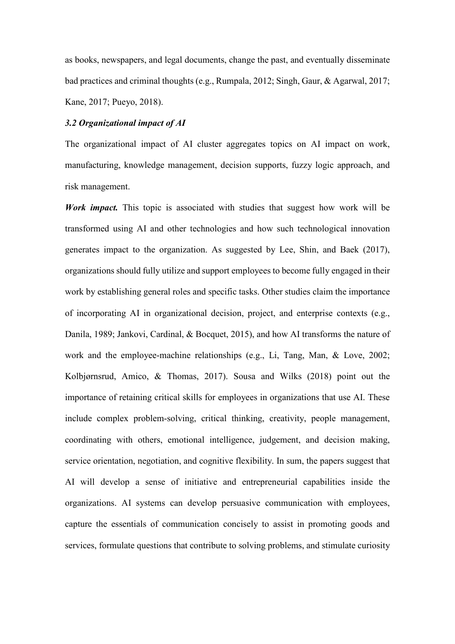as books, newspapers, and legal documents, change the past, and eventually disseminate bad practices and criminal thoughts (e.g., Rumpala, 2012; Singh, Gaur, & Agarwal, 2017; Kane, 2017; Pueyo, 2018).

## *3.2 Organizational impact of AI*

The organizational impact of AI cluster aggregates topics on AI impact on work, manufacturing, knowledge management, decision supports, fuzzy logic approach, and risk management.

*Work impact.* This topic is associated with studies that suggest how work will be transformed using AI and other technologies and how such technological innovation generates impact to the organization. As suggested by Lee, Shin, and Baek (2017), organizations should fully utilize and support employees to become fully engaged in their work by establishing general roles and specific tasks. Other studies claim the importance of incorporating AI in organizational decision, project, and enterprise contexts (e.g., Danila, 1989; Jankovi, Cardinal, & Bocquet, 2015), and how AI transforms the nature of work and the employee-machine relationships (e.g., Li, Tang, Man, & Love, 2002; Kolbjørnsrud, Amico, & Thomas, 2017). Sousa and Wilks (2018) point out the importance of retaining critical skills for employees in organizations that use AI. These include complex problem-solving, critical thinking, creativity, people management, coordinating with others, emotional intelligence, judgement, and decision making, service orientation, negotiation, and cognitive flexibility. In sum, the papers suggest that AI will develop a sense of initiative and entrepreneurial capabilities inside the organizations. AI systems can develop persuasive communication with employees, capture the essentials of communication concisely to assist in promoting goods and services, formulate questions that contribute to solving problems, and stimulate curiosity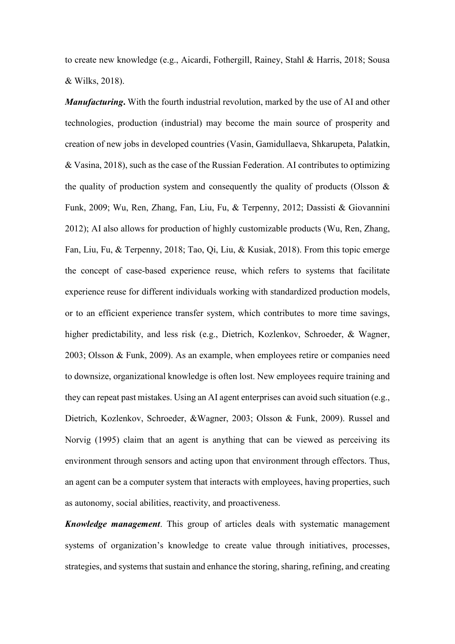to create new knowledge (e.g., Aicardi, Fothergill, Rainey, Stahl & Harris, 2018; Sousa & Wilks, 2018).

*Manufacturing***.** With the fourth industrial revolution, marked by the use of AI and other technologies, production (industrial) may become the main source of prosperity and creation of new jobs in developed countries (Vasin, Gamidullaeva, Shkarupeta, Palatkin, & Vasina, 2018), such as the case of the Russian Federation. AI contributes to optimizing the quality of production system and consequently the quality of products (Olsson  $\&$ Funk, 2009; Wu, Ren, Zhang, Fan, Liu, Fu, & Terpenny, 2012; Dassisti & Giovannini 2012); AI also allows for production of highly customizable products (Wu, Ren, Zhang, Fan, Liu, Fu, & Terpenny, 2018; Tao, Qi, Liu, & Kusiak, 2018). From this topic emerge the concept of case-based experience reuse, which refers to systems that facilitate experience reuse for different individuals working with standardized production models, or to an efficient experience transfer system, which contributes to more time savings, higher predictability, and less risk (e.g., Dietrich, Kozlenkov, Schroeder, & Wagner, 2003; Olsson & Funk, 2009). As an example, when employees retire or companies need to downsize, organizational knowledge is often lost. New employees require training and they can repeat past mistakes. Using an AI agent enterprises can avoid such situation (e.g., Dietrich, Kozlenkov, Schroeder, &Wagner, 2003; Olsson & Funk, 2009). Russel and Norvig (1995) claim that an agent is anything that can be viewed as perceiving its environment through sensors and acting upon that environment through effectors. Thus, an agent can be a computer system that interacts with employees, having properties, such as autonomy, social abilities, reactivity, and proactiveness.

*Knowledge management*. This group of articles deals with systematic management systems of organization's knowledge to create value through initiatives, processes, strategies, and systems that sustain and enhance the storing, sharing, refining, and creating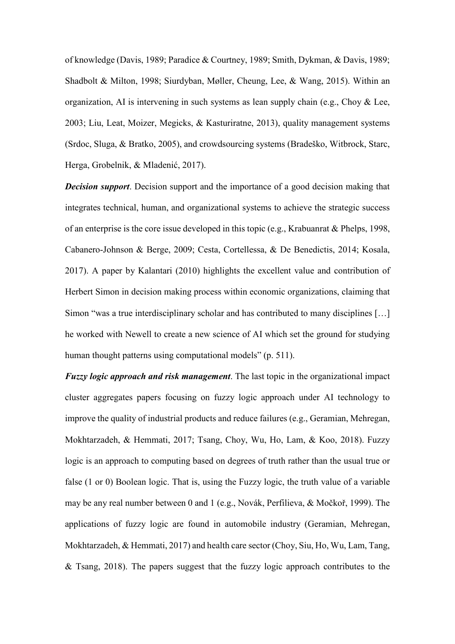of knowledge (Davis, 1989; Paradice & Courtney, 1989; Smith, Dykman, & Davis, 1989; Shadbolt & Milton, 1998; Siurdyban, Møller, Cheung, Lee, & Wang, 2015). Within an organization, AI is intervening in such systems as lean supply chain (e.g., Choy & Lee, 2003; Liu, Leat, Moizer, Megicks, & Kasturiratne, 2013), quality management systems (Srdoc, Sluga, & Bratko, 2005), and crowdsourcing systems (Bradeško, Witbrock, Starc, Herga, Grobelnik, & Mladenić, 2017).

*Decision support*. Decision support and the importance of a good decision making that integrates technical, human, and organizational systems to achieve the strategic success of an enterprise is the core issue developed in this topic (e.g., Krabuanrat & Phelps, 1998, Cabanero-Johnson & Berge, 2009; Cesta, Cortellessa, & De Benedictis, 2014; Kosala, 2017). A paper by Kalantari (2010) highlights the excellent value and contribution of Herbert Simon in decision making process within economic organizations, claiming that Simon "was a true interdisciplinary scholar and has contributed to many disciplines […] he worked with Newell to create a new science of AI which set the ground for studying human thought patterns using computational models" (p. 511).

*Fuzzy logic approach and risk management*. The last topic in the organizational impact cluster aggregates papers focusing on fuzzy logic approach under AI technology to improve the quality of industrial products and reduce failures (e.g., Geramian, Mehregan, Mokhtarzadeh, & Hemmati, 2017; Tsang, Choy, Wu, Ho, Lam, & Koo, 2018). Fuzzy logic is an approach to computing based on degrees of truth rather than the usual true or false (1 or 0) Boolean logic. That is, using the Fuzzy logic, the truth value of a variable may be any real number between 0 and 1 (e.g., Novák, Perfilieva, & Močkoř, 1999). The applications of fuzzy logic are found in automobile industry (Geramian, Mehregan, Mokhtarzadeh, & Hemmati, 2017) and health care sector (Choy, Siu, Ho, Wu, Lam, Tang,  $&$  Tsang, 2018). The papers suggest that the fuzzy logic approach contributes to the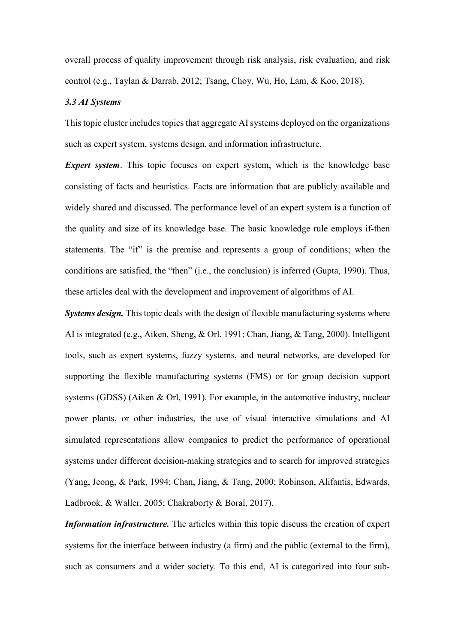overall process of quality improvement through risk analysis, risk evaluation, and risk control (e.g., Taylan & Darrab, 2012; Tsang, Choy, Wu, Ho, Lam, & Koo, 2018).

#### *3.3 AI Systems*

This topic cluster includes topics that aggregate AI systems deployed on the organizations such as expert system, systems design, and information infrastructure.

*Expert system*. This topic focuses on expert system, which is the knowledge base consisting of facts and heuristics. Facts are information that are publicly available and widely shared and discussed. The performance level of an expert system is a function of the quality and size of its knowledge base. The basic knowledge rule employs if-then statements. The "if" is the premise and represents a group of conditions; when the conditions are satisfied, the "then" (i.e., the conclusion) is inferred (Gupta, 1990). Thus, these articles deal with the development and improvement of algorithms of AI.

*Systems design.* This topic deals with the design of flexible manufacturing systems where AI is integrated (e.g., Aiken, Sheng, & Orl, 1991; Chan, Jiang, & Tang, 2000). Intelligent tools, such as expert systems, fuzzy systems, and neural networks, are developed for supporting the flexible manufacturing systems (FMS) or for group decision support systems (GDSS) (Aiken & Orl, 1991). For example, in the automotive industry, nuclear power plants, or other industries, the use of visual interactive simulations and AI simulated representations allow companies to predict the performance of operational systems under different decision-making strategies and to search for improved strategies (Yang, Jeong, & Park, 1994; Chan, Jiang, & Tang, 2000; Robinson, Alifantis, Edwards, Ladbrook, & Waller, 2005; Chakraborty & Boral, 2017).

*Information infrastructure.* The articles within this topic discuss the creation of expert systems for the interface between industry (a firm) and the public (external to the firm), such as consumers and a wider society. To this end, AI is categorized into four sub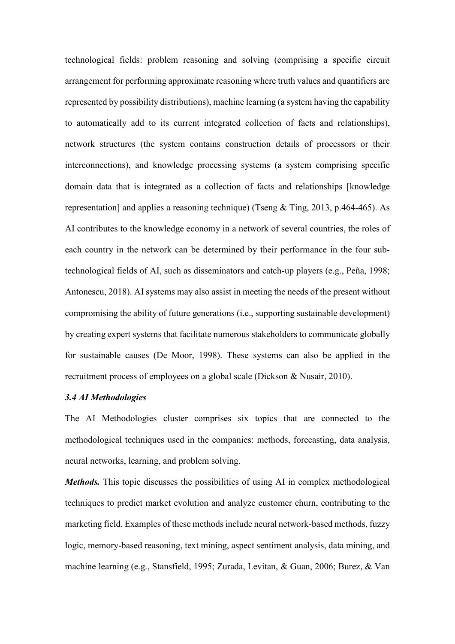technological fields: problem reasoning and solving (comprising a specific circuit arrangement for performing approximate reasoning where truth values and quantifiers are represented by possibility distributions), machine learning (a system having the capability to automatically add to its current integrated collection of facts and relationships), network structures (the system contains construction details of processors or their interconnections), and knowledge processing systems (a system comprising specific domain data that is integrated as a collection of facts and relationships [knowledge representation] and applies a reasoning technique) (Tseng & Ting, 2013, p.464-465). As AI contributes to the knowledge economy in a network of several countries, the roles of each country in the network can be determined by their performance in the four subtechnological fields of AI, such as disseminators and catch-up players (e.g., Peña, 1998; Antonescu, 2018). AI systems may also assist in meeting the needs of the present without compromising the ability of future generations (i.e., supporting sustainable development) by creating expert systems that facilitate numerous stakeholders to communicate globally for sustainable causes (De Moor, 1998). These systems can also be applied in the recruitment process of employees on a global scale (Dickson & Nusair, 2010).

### *3.4 AI Methodologies*

The AI Methodologies cluster comprises six topics that are connected to the methodological techniques used in the companies: methods, forecasting, data analysis, neural networks, learning, and problem solving.

*Methods*. This topic discusses the possibilities of using AI in complex methodological techniques to predict market evolution and analyze customer churn, contributing to the marketing field. Examples of these methods include neural network-based methods, fuzzy logic, memory-based reasoning, text mining, aspect sentiment analysis, data mining, and machine learning (e.g., Stansfield, 1995; Zurada, Levitan, & Guan, 2006; Burez, & Van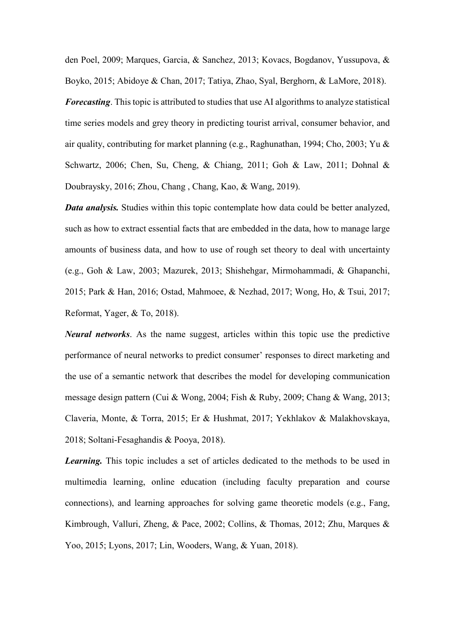den Poel, 2009; Marques, Garcia, & Sanchez, 2013; Kovacs, Bogdanov, Yussupova, & Boyko, 2015; Abidoye & Chan, 2017; Tatiya, Zhao, Syal, Berghorn, & LaMore, 2018). *Forecasting*. This topic is attributed to studies that use AI algorithms to analyze statistical time series models and grey theory in predicting tourist arrival, consumer behavior, and air quality, contributing for market planning (e.g., Raghunathan, 1994; Cho, 2003; Yu & Schwartz, 2006; Chen, Su, Cheng, & Chiang, 2011; Goh & Law, 2011; Dohnal & Doubraysky, 2016; Zhou, Chang , Chang, Kao, & Wang, 2019).

*Data analysis.* Studies within this topic contemplate how data could be better analyzed, such as how to extract essential facts that are embedded in the data, how to manage large amounts of business data, and how to use of rough set theory to deal with uncertainty (e.g., Goh & Law, 2003; Mazurek, 2013; Shishehgar, Mirmohammadi, & Ghapanchi, 2015; Park & Han, 2016; Ostad, Mahmoee, & Nezhad, 2017; Wong, Ho, & Tsui, 2017; Reformat, Yager, & To, 2018).

*Neural networks*. As the name suggest, articles within this topic use the predictive performance of neural networks to predict consumer' responses to direct marketing and the use of a semantic network that describes the model for developing communication message design pattern (Cui & Wong, 2004; Fish & Ruby, 2009; Chang & Wang, 2013; Claveria, Monte, & Torra, 2015; Er & Hushmat, 2017; Yekhlakov & Malakhovskaya, 2018; Soltani-Fesaghandis & Pooya, 2018).

*Learning.* This topic includes a set of articles dedicated to the methods to be used in multimedia learning, online education (including faculty preparation and course connections), and learning approaches for solving game theoretic models (e.g., Fang, Kimbrough, Valluri, Zheng, & Pace, 2002; Collins, & Thomas, 2012; Zhu, Marques & Yoo, 2015; Lyons, 2017; Lin, Wooders, Wang, & Yuan, 2018).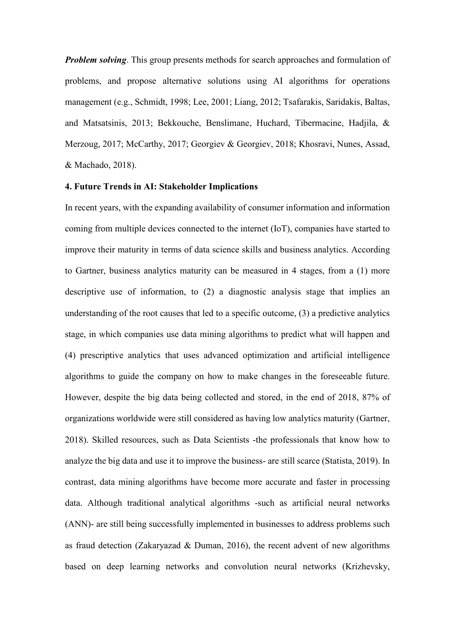*Problem solving*. This group presents methods for search approaches and formulation of problems, and propose alternative solutions using AI algorithms for operations management (e.g., Schmidt, 1998; Lee, 2001; Liang, 2012; Tsafarakis, Saridakis, Baltas, and Matsatsinis, 2013; Bekkouche, Benslimane, Huchard, Tibermacine, Hadjila, & Merzoug, 2017; McCarthy, 2017; Georgiev & Georgiev, 2018; Khosravi, Nunes, Assad, & Machado, 2018).

### **4. Future Trends in AI: Stakeholder Implications**

In recent years, with the expanding availability of consumer information and information coming from multiple devices connected to the internet (IoT), companies have started to improve their maturity in terms of data science skills and business analytics. According to Gartner, business analytics maturity can be measured in 4 stages, from a (1) more descriptive use of information, to (2) a diagnostic analysis stage that implies an understanding of the root causes that led to a specific outcome, (3) a predictive analytics stage, in which companies use data mining algorithms to predict what will happen and (4) prescriptive analytics that uses advanced optimization and artificial intelligence algorithms to guide the company on how to make changes in the foreseeable future. However, despite the big data being collected and stored, in the end of 2018, 87% of organizations worldwide were still considered as having low analytics maturity (Gartner, 2018). Skilled resources, such as Data Scientists -the professionals that know how to analyze the big data and use it to improve the business- are still scarce (Statista, 2019). In contrast, data mining algorithms have become more accurate and faster in processing data. Although traditional analytical algorithms -such as artificial neural networks (ANN)- are still being successfully implemented in businesses to address problems such as fraud detection (Zakaryazad & Duman, 2016), the recent advent of new algorithms based on deep learning networks and convolution neural networks (Krizhevsky,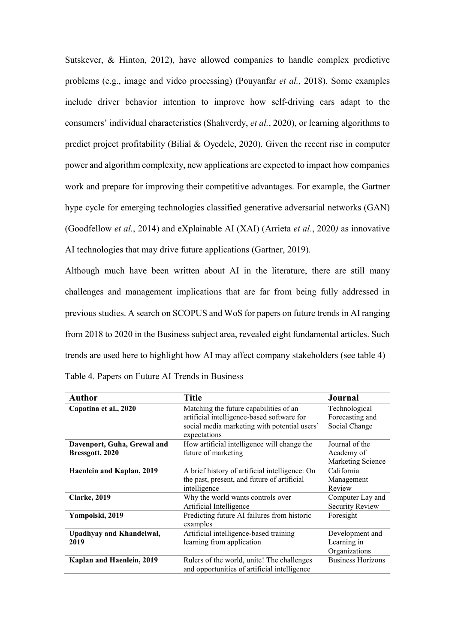Sutskever, & Hinton, 2012), have allowed companies to handle complex predictive problems (e.g., image and video processing) (Pouyanfar *et al.,* 2018). Some examples include driver behavior intention to improve how self-driving cars adapt to the consumers' individual characteristics (Shahverdy, *et al.*, 2020), or learning algorithms to predict project profitability (Bilial & Oyedele, 2020). Given the recent rise in computer power and algorithm complexity, new applications are expected to impact how companies work and prepare for improving their competitive advantages. For example, the Gartner hype cycle for emerging technologies classified generative adversarial networks (GAN) (Goodfellow *et al.*, 2014) and eXplainable AI (XAI) (Arrieta *et al*., 2020*)* as innovative AI technologies that may drive future applications (Gartner, 2019).

Although much have been written about AI in the literature, there are still many challenges and management implications that are far from being fully addressed in previous studies. A search on SCOPUS and WoS for papers on future trends in AI ranging from 2018 to 2020 in the Business subject area, revealed eight fundamental articles. Such trends are used here to highlight how AI may affect company stakeholders (see table 4)

| <b>Author</b>                    | <b>Title</b>                                   | <b>Journal</b>           |
|----------------------------------|------------------------------------------------|--------------------------|
| Capatina et al., 2020            | Matching the future capabilities of an         | Technological            |
|                                  | artificial intelligence-based software for     | Forecasting and          |
|                                  | social media marketing with potential users'   | Social Change            |
|                                  | expectations                                   |                          |
| Davenport, Guha, Grewal and      | How artificial intelligence will change the    | Journal of the           |
| Bressgott, 2020                  | future of marketing                            | Academy of               |
|                                  |                                                | Marketing Science        |
| <b>Haenlein and Kaplan, 2019</b> | A brief history of artificial intelligence: On | California               |
|                                  | the past, present, and future of artificial    | Management               |
|                                  | intelligence                                   | Review                   |
| <b>Clarke</b> , 2019             | Why the world wants controls over              | Computer Lay and         |
|                                  | Artificial Intelligence                        | <b>Security Review</b>   |
| Yampolski, 2019                  | Predicting future AI failures from historic    | Foresight                |
|                                  | examples                                       |                          |
| Upadhyay and Khandelwal,         | Artificial intelligence-based training         | Development and          |
| 2019                             | learning from application                      | Learning in              |
|                                  |                                                | Organizations            |
| Kaplan and Haenlein, 2019        | Rulers of the world, unite! The challenges     | <b>Business Horizons</b> |
|                                  | and opportunities of artificial intelligence   |                          |

Table 4. Papers on Future AI Trends in Business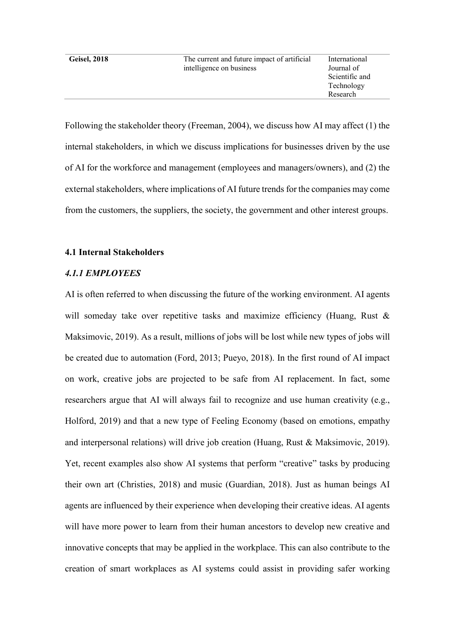Geisel, 2018 The current and future impact of artificial intelligence on business

International Journal of Scientific and Technology Research

Following the stakeholder theory (Freeman, 2004), we discuss how AI may affect (1) the internal stakeholders, in which we discuss implications for businesses driven by the use of AI for the workforce and management (employees and managers/owners), and (2) the external stakeholders, where implications of AI future trends for the companies may come from the customers, the suppliers, the society, the government and other interest groups.

#### **4.1 Internal Stakeholders**

## *4.1.1 EMPLOYEES*

AI is often referred to when discussing the future of the working environment. AI agents will someday take over repetitive tasks and maximize efficiency (Huang, Rust & Maksimovic, 2019). As a result, millions of jobs will be lost while new types of jobs will be created due to automation (Ford, 2013; Pueyo, 2018). In the first round of AI impact on work, creative jobs are projected to be safe from AI replacement. In fact, some researchers argue that AI will always fail to recognize and use human creativity (e.g., Holford, 2019) and that a new type of Feeling Economy (based on emotions, empathy and interpersonal relations) will drive job creation (Huang, Rust & Maksimovic, 2019). Yet, recent examples also show AI systems that perform "creative" tasks by producing their own art (Christies, 2018) and music (Guardian, 2018). Just as human beings AI agents are influenced by their experience when developing their creative ideas. AI agents will have more power to learn from their human ancestors to develop new creative and innovative concepts that may be applied in the workplace. This can also contribute to the creation of smart workplaces as AI systems could assist in providing safer working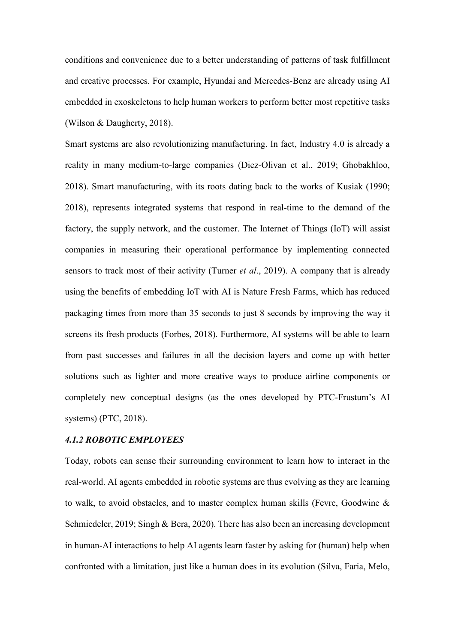conditions and convenience due to a better understanding of patterns of task fulfillment and creative processes. For example, Hyundai and Mercedes-Benz are already using AI embedded in exoskeletons to help human workers to perform better most repetitive tasks (Wilson & Daugherty, 2018).

Smart systems are also revolutionizing manufacturing. In fact, Industry 4.0 is already a reality in many medium-to-large companies (Diez-Olivan et al., 2019; Ghobakhloo, 2018). Smart manufacturing, with its roots dating back to the works of Kusiak (1990; 2018), represents integrated systems that respond in real-time to the demand of the factory, the supply network, and the customer. The Internet of Things (IoT) will assist companies in measuring their operational performance by implementing connected sensors to track most of their activity (Turner *et al*., 2019). A company that is already using the benefits of embedding IoT with AI is Nature Fresh Farms, which has reduced packaging times from more than 35 seconds to just 8 seconds by improving the way it screens its fresh products (Forbes, 2018). Furthermore, AI systems will be able to learn from past successes and failures in all the decision layers and come up with better solutions such as lighter and more creative ways to produce airline components or completely new conceptual designs (as the ones developed by PTC-Frustum's AI systems) (PTC, 2018).

#### *4.1.2 ROBOTIC EMPLOYEES*

Today, robots can sense their surrounding environment to learn how to interact in the real-world. AI agents embedded in robotic systems are thus evolving as they are learning to walk, to avoid obstacles, and to master complex human skills (Fevre, Goodwine & Schmiedeler, 2019; Singh & Bera, 2020). There has also been an increasing development in human-AI interactions to help AI agents learn faster by asking for (human) help when confronted with a limitation, just like a human does in its evolution (Silva, Faria, Melo,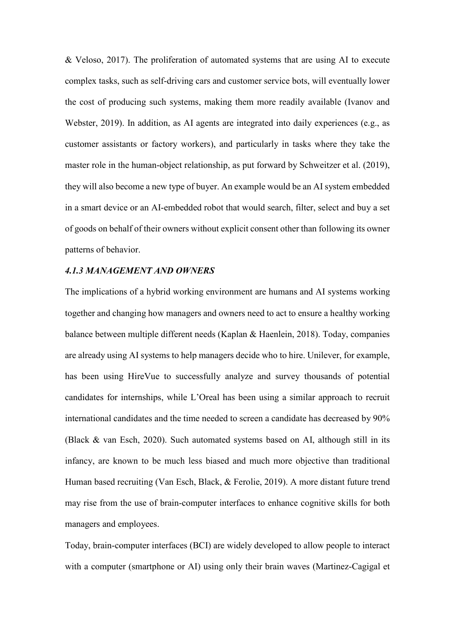& Veloso, 2017). The proliferation of automated systems that are using AI to execute complex tasks, such as self-driving cars and customer service bots, will eventually lower the cost of producing such systems, making them more readily available (Ivanov and Webster, 2019). In addition, as AI agents are integrated into daily experiences (e.g., as customer assistants or factory workers), and particularly in tasks where they take the master role in the human-object relationship, as put forward by Schweitzer et al. (2019), they will also become a new type of buyer. An example would be an AI system embedded in a smart device or an AI-embedded robot that would search, filter, select and buy a set of goods on behalf of their owners without explicit consent other than following its owner patterns of behavior.

#### *4.1.3 MANAGEMENT AND OWNERS*

The implications of a hybrid working environment are humans and AI systems working together and changing how managers and owners need to act to ensure a healthy working balance between multiple different needs (Kaplan & Haenlein, 2018). Today, companies are already using AI systems to help managers decide who to hire. Unilever, for example, has been using HireVue to successfully analyze and survey thousands of potential candidates for internships, while L'Oreal has been using a similar approach to recruit international candidates and the time needed to screen a candidate has decreased by 90% (Black & van Esch, 2020). Such automated systems based on AI, although still in its infancy, are known to be much less biased and much more objective than traditional Human based recruiting (Van Esch, Black, & Ferolie, 2019). A more distant future trend may rise from the use of brain-computer interfaces to enhance cognitive skills for both managers and employees.

Today, brain-computer interfaces (BCI) are widely developed to allow people to interact with a computer (smartphone or AI) using only their brain waves (Martinez-Cagigal et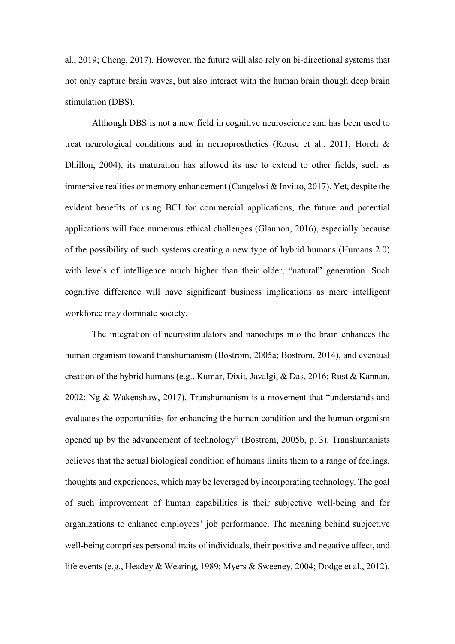al., 2019; Cheng, 2017). However, the future will also rely on bi-directional systems that not only capture brain waves, but also interact with the human brain though deep brain stimulation (DBS).

Although DBS is not a new field in cognitive neuroscience and has been used to treat neurological conditions and in neuroprosthetics (Rouse et al., 2011; Horch & Dhillon, 2004), its maturation has allowed its use to extend to other fields, such as immersive realities or memory enhancement (Cangelosi & Invitto, 2017). Yet, despite the evident benefits of using BCI for commercial applications, the future and potential applications will face numerous ethical challenges (Glannon, 2016), especially because of the possibility of such systems creating a new type of hybrid humans (Humans 2.0) with levels of intelligence much higher than their older, "natural" generation. Such cognitive difference will have significant business implications as more intelligent workforce may dominate society.

The integration of neurostimulators and nanochips into the brain enhances the human organism toward transhumanism (Bostrom, 2005a; Bostrom, 2014), and eventual creation of the hybrid humans (e.g., Kumar, Dixit, Javalgi, & Das, 2016; Rust & Kannan, 2002; Ng & Wakenshaw, 2017). Transhumanism is a movement that "understands and evaluates the opportunities for enhancing the human condition and the human organism opened up by the advancement of technology" (Bostrom, 2005b, p. 3). Transhumanists believes that the actual biological condition of humans limits them to a range of feelings, thoughts and experiences, which may be leveraged by incorporating technology. The goal of such improvement of human capabilities is their subjective well-being and for organizations to enhance employees' job performance. The meaning behind subjective well-being comprises personal traits of individuals, their positive and negative affect, and life events (e.g., Headey & Wearing, 1989; Myers & Sweeney, 2004; Dodge et al., 2012).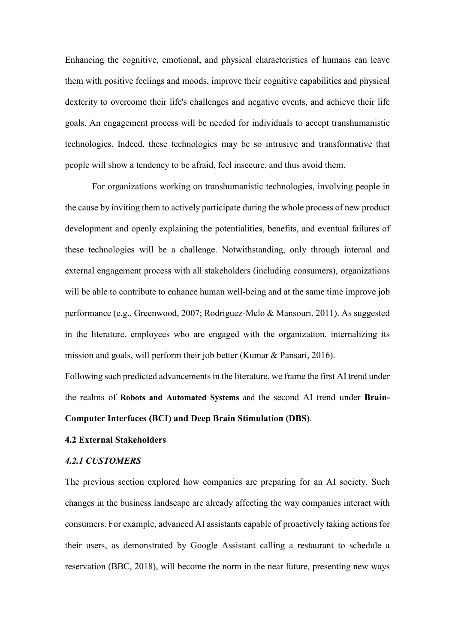Enhancing the cognitive, emotional, and physical characteristics of humans can leave them with positive feelings and moods, improve their cognitive capabilities and physical dexterity to overcome their life's challenges and negative events, and achieve their life goals. An engagement process will be needed for individuals to accept transhumanistic technologies. Indeed, these technologies may be so intrusive and transformative that people will show a tendency to be afraid, feel insecure, and thus avoid them.

For organizations working on transhumanistic technologies, involving people in the cause by inviting them to actively participate during the whole process of new product development and openly explaining the potentialities, benefits, and eventual failures of these technologies will be a challenge. Notwithstanding, only through internal and external engagement process with all stakeholders (including consumers), organizations will be able to contribute to enhance human well-being and at the same time improve job performance (e.g., Greenwood, 2007; Rodriguez‐Melo & Mansouri, 2011). As suggested in the literature, employees who are engaged with the organization, internalizing its mission and goals, will perform their job better (Kumar & Pansari, 2016).

Following such predicted advancements in the literature, we frame the first AI trend under the realms of **Robots and Automated Systems** and the second AI trend under **Brain-Computer Interfaces (BCI) and Deep Brain Stimulation (DBS)**.

### **4.2 External Stakeholders**

#### *4.2.1 CUSTOMERS*

The previous section explored how companies are preparing for an AI society. Such changes in the business landscape are already affecting the way companies interact with consumers. For example, advanced AI assistants capable of proactively taking actions for their users, as demonstrated by Google Assistant calling a restaurant to schedule a reservation (BBC, 2018), will become the norm in the near future, presenting new ways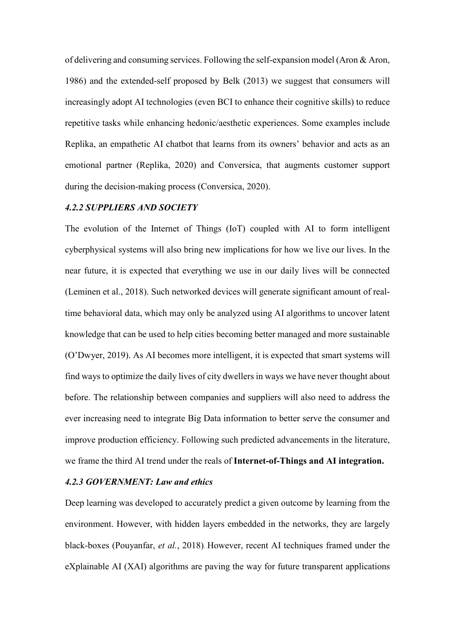of delivering and consuming services. Following the self-expansion model (Aron & Aron, 1986) and the extended-self proposed by Belk (2013) we suggest that consumers will increasingly adopt AI technologies (even BCI to enhance their cognitive skills) to reduce repetitive tasks while enhancing hedonic/aesthetic experiences. Some examples include Replika, an empathetic AI chatbot that learns from its owners' behavior and acts as an emotional partner (Replika, 2020) and Conversica, that augments customer support during the decision-making process (Conversica, 2020).

## *4.2.2 SUPPLIERS AND SOCIETY*

The evolution of the Internet of Things (IoT) coupled with AI to form intelligent cyberphysical systems will also bring new implications for how we live our lives. In the near future, it is expected that everything we use in our daily lives will be connected (Leminen et al., 2018). Such networked devices will generate significant amount of realtime behavioral data, which may only be analyzed using AI algorithms to uncover latent knowledge that can be used to help cities becoming better managed and more sustainable (O'Dwyer, 2019). As AI becomes more intelligent, it is expected that smart systems will find ways to optimize the daily lives of city dwellers in ways we have never thought about before. The relationship between companies and suppliers will also need to address the ever increasing need to integrate Big Data information to better serve the consumer and improve production efficiency. Following such predicted advancements in the literature, we frame the third AI trend under the reals of **Internet-of-Things and AI integration.**

## *4.2.3 GOVERNMENT: Law and ethics*

Deep learning was developed to accurately predict a given outcome by learning from the environment. However, with hidden layers embedded in the networks, they are largely black-boxes (Pouyanfar, *et al.*, 2018). However, recent AI techniques framed under the eXplainable AI (XAI) algorithms are paving the way for future transparent applications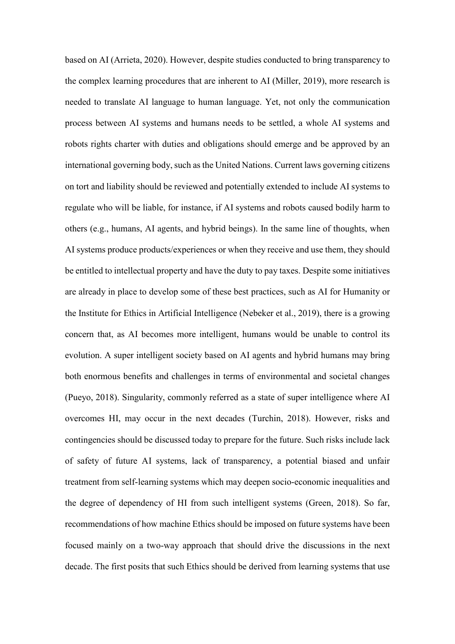based on AI (Arrieta, 2020). However, despite studies conducted to bring transparency to the complex learning procedures that are inherent to AI (Miller, 2019), more research is needed to translate AI language to human language. Yet, not only the communication process between AI systems and humans needs to be settled, a whole AI systems and robots rights charter with duties and obligations should emerge and be approved by an international governing body, such as the United Nations. Current laws governing citizens on tort and liability should be reviewed and potentially extended to include AI systems to regulate who will be liable, for instance, if AI systems and robots caused bodily harm to others (e.g., humans, AI agents, and hybrid beings). In the same line of thoughts, when AI systems produce products/experiences or when they receive and use them, they should be entitled to intellectual property and have the duty to pay taxes. Despite some initiatives are already in place to develop some of these best practices, such as AI for Humanity or the Institute for Ethics in Artificial Intelligence (Nebeker et al., 2019), there is a growing concern that, as AI becomes more intelligent, humans would be unable to control its evolution. A super intelligent society based on AI agents and hybrid humans may bring both enormous benefits and challenges in terms of environmental and societal changes (Pueyo, 2018). Singularity, commonly referred as a state of super intelligence where AI overcomes HI, may occur in the next decades (Turchin, 2018). However, risks and contingencies should be discussed today to prepare for the future. Such risks include lack of safety of future AI systems, lack of transparency, a potential biased and unfair treatment from self-learning systems which may deepen socio-economic inequalities and the degree of dependency of HI from such intelligent systems (Green, 2018). So far, recommendations of how machine Ethics should be imposed on future systems have been focused mainly on a two-way approach that should drive the discussions in the next decade. The first posits that such Ethics should be derived from learning systems that use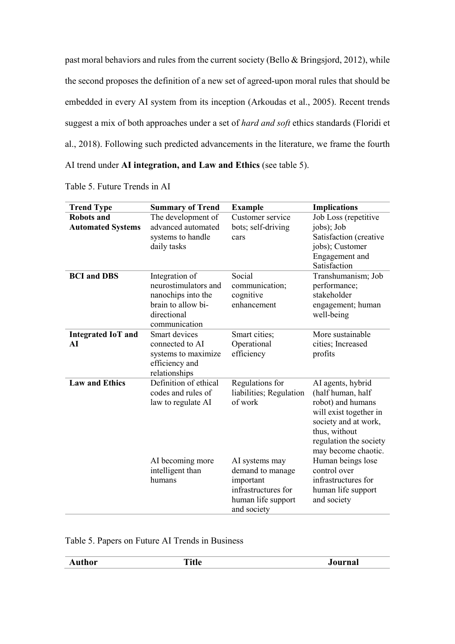past moral behaviors and rules from the current society (Bello & Bringsjord, 2012), while the second proposes the definition of a new set of agreed-upon moral rules that should be embedded in every AI system from its inception (Arkoudas et al., 2005). Recent trends suggest a mix of both approaches under a set of *hard and soft* ethics standards (Floridi et al., 2018). Following such predicted advancements in the literature, we frame the fourth AI trend under **AI integration, and Law and Ethics** (see table 5).

| <b>Trend Type</b>                             | <b>Summary of Trend</b>                                                                                            | <b>Example</b>                                                                                              | <b>Implications</b>                                                                                                                                                                                  |
|-----------------------------------------------|--------------------------------------------------------------------------------------------------------------------|-------------------------------------------------------------------------------------------------------------|------------------------------------------------------------------------------------------------------------------------------------------------------------------------------------------------------|
| <b>Robots and</b><br><b>Automated Systems</b> | The development of<br>advanced automated<br>systems to handle<br>daily tasks                                       | Customer service<br>bots; self-driving<br>cars                                                              | Job Loss (repetitive<br>jobs); Job<br>Satisfaction (creative<br>jobs); Customer<br>Engagement and<br>Satisfaction                                                                                    |
| <b>BCI</b> and <b>DBS</b>                     | Integration of<br>neurostimulators and<br>nanochips into the<br>brain to allow bi-<br>directional<br>communication | Social<br>communication;<br>cognitive<br>enhancement                                                        | Transhumanism; Job<br>performance;<br>stakeholder<br>engagement; human<br>well-being                                                                                                                 |
| <b>Integrated IoT and</b><br>AI               | Smart devices<br>connected to AI<br>systems to maximize<br>efficiency and<br>relationships                         | Smart cities;<br>Operational<br>efficiency                                                                  | More sustainable<br>cities; Increased<br>profits                                                                                                                                                     |
| <b>Law and Ethics</b>                         | Definition of ethical<br>codes and rules of<br>law to regulate AI                                                  | Regulations for<br>liabilities; Regulation<br>of work                                                       | AI agents, hybrid<br>(half human, half<br>robot) and humans<br>will exist together in<br>society and at work,<br>thus, without<br>regulation the society<br>may become chaotic.<br>Human beings lose |
|                                               | AI becoming more<br>intelligent than<br>humans                                                                     | AI systems may<br>demand to manage<br>important<br>infrastructures for<br>human life support<br>and society | control over<br>infrastructures for<br>human life support<br>and society                                                                                                                             |

Table 5. Future Trends in AI

Table 5. Papers on Future AI Trends in Business

| Author<br>___ | n.<br>ние | JOUFIIAL |
|---------------|-----------|----------|
|               |           |          |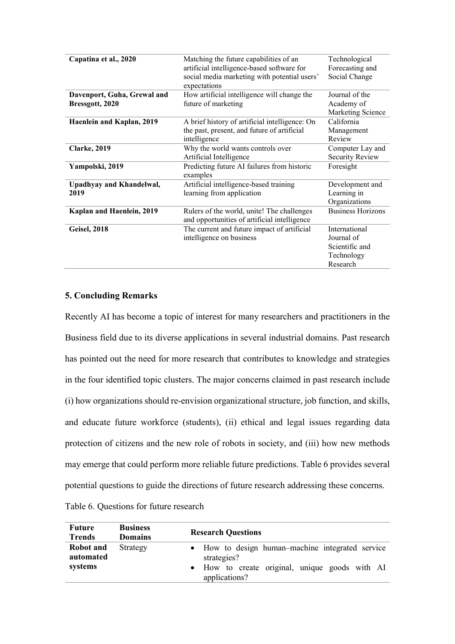| Capatina et al., 2020           | Matching the future capabilities of an                                                     | Technological            |
|---------------------------------|--------------------------------------------------------------------------------------------|--------------------------|
|                                 | artificial intelligence-based software for                                                 | Forecasting and          |
|                                 | social media marketing with potential users'                                               | Social Change            |
|                                 | expectations                                                                               |                          |
| Davenport, Guha, Grewal and     | How artificial intelligence will change the                                                | Journal of the           |
| Bressgott, 2020                 | future of marketing                                                                        | Academy of               |
|                                 |                                                                                            | Marketing Science        |
| Haenlein and Kaplan, 2019       | A brief history of artificial intelligence: On                                             | California               |
|                                 | the past, present, and future of artificial                                                | Management               |
|                                 | intelligence                                                                               | Review                   |
| <b>Clarke</b> , 2019            | Why the world wants controls over                                                          | Computer Lay and         |
|                                 | Artificial Intelligence                                                                    | <b>Security Review</b>   |
| Yampolski, 2019                 | Predicting future AI failures from historic                                                | Foresight                |
|                                 | examples                                                                                   |                          |
| <b>Upadhyay and Khandelwal,</b> | Artificial intelligence-based training                                                     | Development and          |
| 2019                            | learning from application                                                                  | Learning in              |
|                                 |                                                                                            | Organizations            |
| Kaplan and Haenlein, 2019       | Rulers of the world, unite! The challenges<br>and opportunities of artificial intelligence | <b>Business Horizons</b> |
| <b>Geisel, 2018</b>             | The current and future impact of artificial                                                | International            |
|                                 | intelligence on business                                                                   | Journal of               |
|                                 |                                                                                            | Scientific and           |
|                                 |                                                                                            | Technology               |
|                                 |                                                                                            | Research                 |

## **5. Concluding Remarks**

Recently AI has become a topic of interest for many researchers and practitioners in the Business field due to its diverse applications in several industrial domains. Past research has pointed out the need for more research that contributes to knowledge and strategies in the four identified topic clusters. The major concerns claimed in past research include (i) how organizations should re-envision organizational structure, job function, and skills, and educate future workforce (students), (ii) ethical and legal issues regarding data protection of citizens and the new role of robots in society, and (iii) how new methods may emerge that could perform more reliable future predictions. Table 6 provides several potential questions to guide the directions of future research addressing these concerns.

Table 6. Questions for future research

| Future<br><b>Trends</b>           | <b>Business</b><br><b>Domains</b> | <b>Research Questions</b>                                                                                                          |
|-----------------------------------|-----------------------------------|------------------------------------------------------------------------------------------------------------------------------------|
| Robot and<br>automated<br>systems | Strategy                          | • How to design human–machine integrated service<br>strategies?<br>• How to create original, unique goods with AI<br>applications? |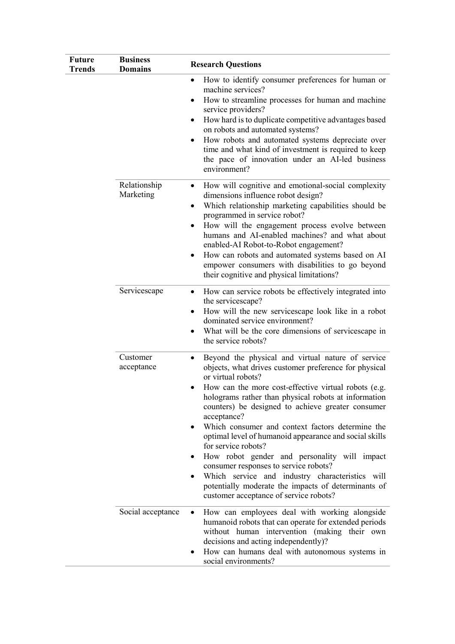| <b>Future</b><br><b>Trends</b> | <b>Business</b><br><b>Domains</b> | <b>Research Questions</b>                                                                                                                                                                                                                                                                                                                                                                                                                                                                                                                                                                                                                                                                                   |  |  |
|--------------------------------|-----------------------------------|-------------------------------------------------------------------------------------------------------------------------------------------------------------------------------------------------------------------------------------------------------------------------------------------------------------------------------------------------------------------------------------------------------------------------------------------------------------------------------------------------------------------------------------------------------------------------------------------------------------------------------------------------------------------------------------------------------------|--|--|
|                                |                                   | How to identify consumer preferences for human or<br>٠<br>machine services?<br>How to streamline processes for human and machine<br>٠<br>service providers?<br>How hard is to duplicate competitive advantages based<br>٠<br>on robots and automated systems?<br>How robots and automated systems depreciate over<br>٠<br>time and what kind of investment is required to keep<br>the pace of innovation under an AI-led business<br>environment?                                                                                                                                                                                                                                                           |  |  |
|                                | Relationship<br>Marketing         | How will cognitive and emotional-social complexity<br>٠<br>dimensions influence robot design?<br>Which relationship marketing capabilities should be<br>٠<br>programmed in service robot?<br>How will the engagement process evolve between<br>٠<br>humans and AI-enabled machines? and what about<br>enabled-AI Robot-to-Robot engagement?<br>How can robots and automated systems based on AI<br>٠<br>empower consumers with disabilities to go beyond<br>their cognitive and physical limitations?                                                                                                                                                                                                       |  |  |
|                                | Servicescape                      | How can service robots be effectively integrated into<br>٠<br>the servicescape?<br>How will the new servicescape look like in a robot<br>٠<br>dominated service environment?<br>What will be the core dimensions of servicescape in<br>٠<br>the service robots?                                                                                                                                                                                                                                                                                                                                                                                                                                             |  |  |
|                                | Customer<br>acceptance            | Beyond the physical and virtual nature of service<br>٠<br>objects, what drives customer preference for physical<br>or virtual robots?<br>How can the more cost-effective virtual robots (e.g.<br>holograms rather than physical robots at information<br>counters) be designed to achieve greater consumer<br>acceptance?<br>Which consumer and context factors determine the<br>optimal level of humanoid appearance and social skills<br>for service robots?<br>How robot gender and personality will impact<br>consumer responses to service robots?<br>Which service and industry characteristics will<br>potentially moderate the impacts of determinants of<br>customer acceptance of service robots? |  |  |
|                                | Social acceptance                 | How can employees deal with working alongside<br>$\bullet$<br>humanoid robots that can operate for extended periods<br>without human intervention (making their own<br>decisions and acting independently)?<br>How can humans deal with autonomous systems in<br>social environments?                                                                                                                                                                                                                                                                                                                                                                                                                       |  |  |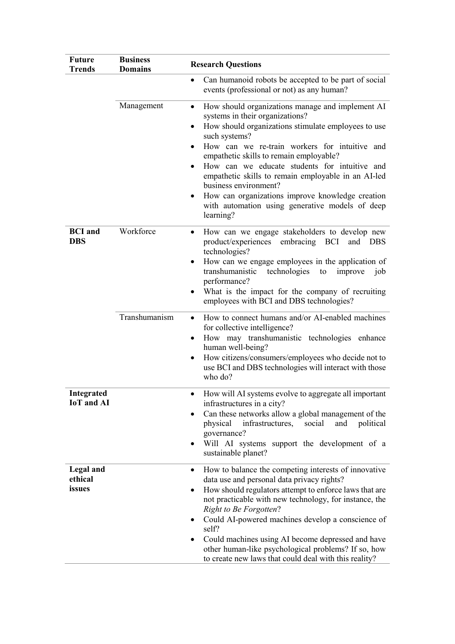| <b>Future</b><br><b>Trends</b>         | <b>Business</b><br><b>Domains</b> | <b>Research Questions</b>                                                                                                                                                                                                                                                                                                                                                                                                                                                                                                                                        |  |  |  |
|----------------------------------------|-----------------------------------|------------------------------------------------------------------------------------------------------------------------------------------------------------------------------------------------------------------------------------------------------------------------------------------------------------------------------------------------------------------------------------------------------------------------------------------------------------------------------------------------------------------------------------------------------------------|--|--|--|
|                                        |                                   | Can humanoid robots be accepted to be part of social<br>$\bullet$<br>events (professional or not) as any human?                                                                                                                                                                                                                                                                                                                                                                                                                                                  |  |  |  |
|                                        | Management                        | How should organizations manage and implement AI<br>systems in their organizations?<br>How should organizations stimulate employees to use<br>$\bullet$<br>such systems?<br>How can we re-train workers for intuitive and<br>$\bullet$<br>empathetic skills to remain employable?<br>How can we educate students for intuitive and<br>$\bullet$<br>empathetic skills to remain employable in an AI-led<br>business environment?<br>How can organizations improve knowledge creation<br>$\bullet$<br>with automation using generative models of deep<br>learning? |  |  |  |
| <b>BCI</b> and<br><b>DBS</b>           | Workforce                         | How can we engage stakeholders to develop new<br>$\bullet$<br>product/experiences embracing BCI and DBS<br>technologies?<br>How can we engage employees in the application of<br>transhumanistic<br>technologies<br>to<br>improve<br>job<br>performance?<br>What is the impact for the company of recruiting<br>$\bullet$<br>employees with BCI and DBS technologies?                                                                                                                                                                                            |  |  |  |
|                                        | Transhumanism                     | How to connect humans and/or AI-enabled machines<br>$\bullet$<br>for collective intelligence?<br>How may transhumanistic technologies enhance<br>$\bullet$<br>human well-being?<br>How citizens/consumers/employees who decide not to<br>٠<br>use BCI and DBS technologies will interact with those<br>who do?                                                                                                                                                                                                                                                   |  |  |  |
| <b>Integrated</b><br><b>IoT</b> and AI |                                   | How will AI systems evolve to aggregate all important<br>infrastructures in a city?<br>Can these networks allow a global management of the<br>physical<br>infrastructures,<br>social<br>and<br>political<br>governance?<br>Will AI systems support the development of a<br>$\bullet$<br>sustainable planet?                                                                                                                                                                                                                                                      |  |  |  |
| Legal and<br>ethical<br>issues         |                                   | How to balance the competing interests of innovative<br>٠<br>data use and personal data privacy rights?<br>How should regulators attempt to enforce laws that are<br>not practicable with new technology, for instance, the<br><b>Right to Be Forgotten?</b><br>Could AI-powered machines develop a conscience of<br>self?<br>Could machines using AI become depressed and have<br>٠<br>other human-like psychological problems? If so, how<br>to create new laws that could deal with this reality?                                                             |  |  |  |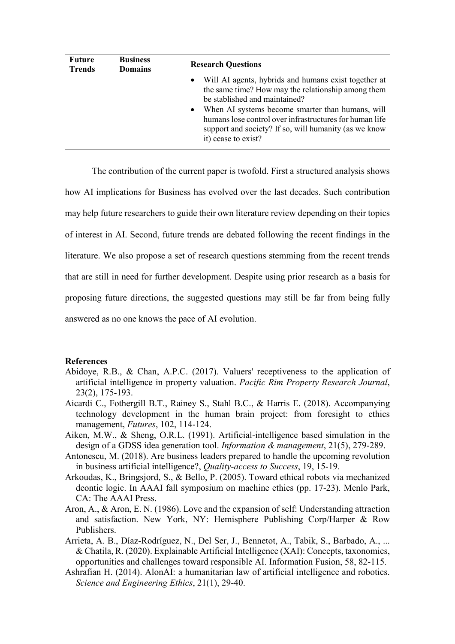| <b>Future</b><br><b>Trends</b> | <b>Business</b><br><b>Domains</b> | <b>Research Questions</b>                                                                                                                                                                                                                                                                                                                      |  |  |
|--------------------------------|-----------------------------------|------------------------------------------------------------------------------------------------------------------------------------------------------------------------------------------------------------------------------------------------------------------------------------------------------------------------------------------------|--|--|
|                                |                                   | • Will AI agents, hybrids and humans exist together at<br>the same time? How may the relationship among them<br>be stablished and maintained?<br>• When AI systems become smarter than humans, will<br>humans lose control over infrastructures for human life<br>support and society? If so, will humanity (as we know<br>it) cease to exist? |  |  |

The contribution of the current paper is twofold. First a structured analysis shows how AI implications for Business has evolved over the last decades. Such contribution may help future researchers to guide their own literature review depending on their topics of interest in AI. Second, future trends are debated following the recent findings in the literature. We also propose a set of research questions stemming from the recent trends that are still in need for further development. Despite using prior research as a basis for proposing future directions, the suggested questions may still be far from being fully answered as no one knows the pace of AI evolution.

#### **References**

- Abidoye, R.B., & Chan, A.P.C. (2017). Valuers' receptiveness to the application of artificial intelligence in property valuation. *Pacific Rim Property Research Journal*, 23(2), 175-193.
- Aicardi C., Fothergill B.T., Rainey S., Stahl B.C., & Harris E. (2018). Accompanying technology development in the human brain project: from foresight to ethics management, *Futures*, 102, 114-124.
- Aiken, M.W., & Sheng, O.R.L. (1991). Artificial-intelligence based simulation in the design of a GDSS idea generation tool. *Information & management*, 21(5), 279-289.
- Antonescu, M. (2018). Are business leaders prepared to handle the upcoming revolution in business artificial intelligence?, *Quality-access to Success*, 19, 15-19.
- Arkoudas, K., Bringsjord, S., & Bello, P. (2005). Toward ethical robots via mechanized deontic logic. In AAAI fall symposium on machine ethics (pp. 17-23). Menlo Park, CA: The AAAI Press.
- Aron, A., & Aron, E. N. (1986). Love and the expansion of self: Understanding attraction and satisfaction. New York, NY: Hemisphere Publishing Corp/Harper & Row Publishers.
- Arrieta, A. B., Díaz-Rodríguez, N., Del Ser, J., Bennetot, A., Tabik, S., Barbado, A., ... & Chatila, R. (2020). Explainable Artificial Intelligence (XAI): Concepts, taxonomies, opportunities and challenges toward responsible AI. Information Fusion, 58, 82-115.
- Ashrafian H. (2014). AlonAI: a humanitarian law of artificial intelligence and robotics. *Science and Engineering Ethics*, 21(1), 29-40.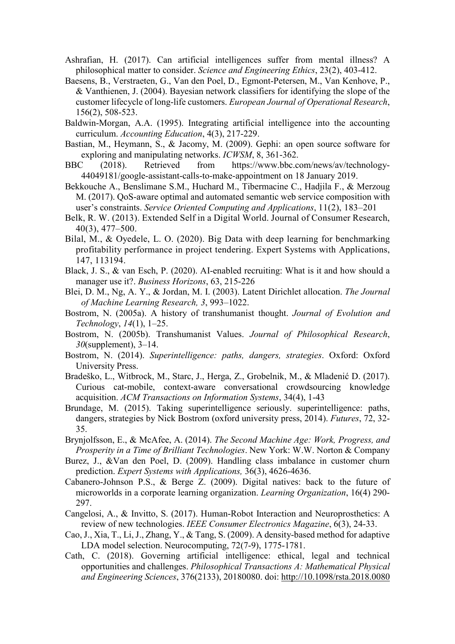- Ashrafian, H. (2017). Can artificial intelligences suffer from mental illness? A philosophical matter to consider. *Science and Engineering Ethics*, 23(2), 403-412.
- Baesens, B., Verstraeten, G., Van den Poel, D., Egmont-Petersen, M., Van Kenhove, P., & Vanthienen, J. (2004). Bayesian network classifiers for identifying the slope of the customer lifecycle of long-life customers. *European Journal of Operational Research*, [156\(2\)](https://www.sciencedirect.com/science/journal/03772217/156/2), 508-523.
- Baldwin-Morgan, A.A. (1995). Integrating artificial intelligence into the accounting curriculum. *Accounting Education*, 4(3), 217-229.
- Bastian, M., Heymann, S., & Jacomy, M. (2009). Gephi: an open source software for exploring and manipulating networks. *ICWSM*, 8, 361-362.
- BBC (2018). Retrieved from [https://www.bbc.com/news/av/technology-](https://www.bbc.com/news/av/technology-44049181/google-assistant-calls-to-make-appointment%20on%2018%20January%202019)[44049181/google-assistant-calls-to-make-appointment on 18 January 2019.](https://www.bbc.com/news/av/technology-44049181/google-assistant-calls-to-make-appointment%20on%2018%20January%202019)
- Bekkouche A., Benslimane S.M., Huchard M., Tibermacine C., Hadjila F., & Merzoug M. (2017). QoS-aware optimal and automated semantic web service composition with user's constraints. *Service Oriented Computing and Applications*, 11(2), 183–201
- Belk, R. W. (2013). Extended Self in a Digital World. Journal of Consumer Research, 40(3), 477–500.
- Bilal, M., & Oyedele, L. O. (2020). Big Data with deep learning for benchmarking profitability performance in project tendering. Expert Systems with Applications, 147, 113194.
- Black, J. S., & van Esch, P. (2020). AI-enabled recruiting: What is it and how should a manager use it?. *Business Horizons*, 63, 215-226
- Blei, D. M., Ng, A. Y., & Jordan, M. I. (2003). Latent Dirichlet allocation. *The Journal of Machine Learning Research, 3*, 993–1022.
- Bostrom, N. (2005a). A history of transhumanist thought. *Journal of Evolution and Technology*, *14*(1), 1–25.
- Bostrom, N. (2005b). Transhumanist Values. *Journal of Philosophical Research*, *30*(supplement), 3–14.
- Bostrom, N. (2014). *Superintelligence: paths, dangers, strategies*. Oxford: Oxford University Press.
- Bradeško, L., Witbrock, M., Starc, J., Herga, Z., Grobelnik, M., & Mladenić D. (2017). Curious cat-mobile, context-aware conversational crowdsourcing knowledge acquisition. *ACM Transactions on Information Systems*, 34(4), 1-43
- Brundage, M. (2015). Taking superintelligence seriously. superintelligence: paths, dangers, strategies by Nick Bostrom (oxford university press, 2014). *Futures*, 72, 32- 35.
- Brynjolfsson, E., & McAfee, A. (2014). *The Second Machine Age: Work, Progress, and Prosperity in a Time of Brilliant Technologies*. New York: W.W. Norton & Compan[y](https://books.wwnorton.com/books/The-Second-Machine-Age/)
- Burez, J., &Van den Poel, D. (2009). Handling class imbalance in customer churn prediction. *[Expert Systems with Applications,](https://www.sciencedirect.com/science/journal/09574174)* [36\(3\), 4](https://www.sciencedirect.com/science/journal/09574174/36/3/part/P1)626-4636.
- Cabanero-Johnson P.S., & Berge Z. (2009). Digital natives: back to the future of microworlds in a corporate learning organization. *Learning Organization*, 16(4) 290- 297.
- Cangelosi, A., & Invitto, S. (2017). Human-Robot Interaction and Neuroprosthetics: A review of new technologies. *IEEE Consumer Electronics Magazine*, 6(3), 24-33.
- Cao, J., Xia, T., Li, J., Zhang, Y., & Tang, S. (2009). A density-based method for adaptive LDA model selection. Neurocomputing, 72(7-9), 1775-1781.
- Cath, C. (2018). Governing artificial intelligence: ethical, legal and technical opportunities and challenges. *Philosophical Transactions A: Mathematical Physical and Engineering Sciences*, 376(2133), 20180080. doi: [http://10.1098/rsta.2018.0080](http://10.0.4.74/rsta.2018.0080)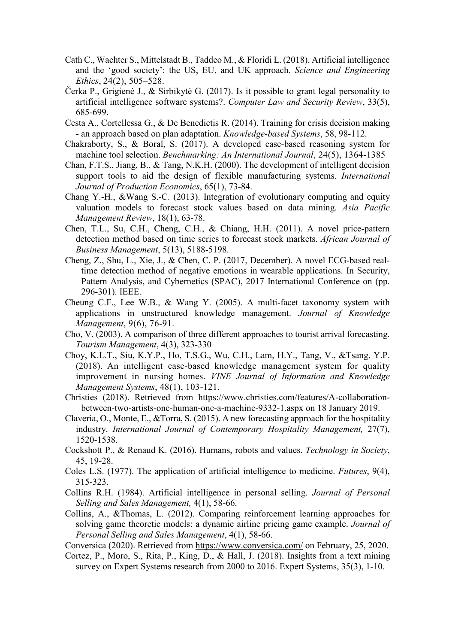- Cath C., Wachter S., Mittelstadt B., Taddeo M., & Floridi L. (2018). Artificial intelligence and the 'good society': the US, EU, and UK approach. *Science and Engineering Ethics*, 24(2), 505–528.
- Čerka P., Grigienė J., & Sirbikytė G. (2017). Is it possible to grant legal personality to artificial intelligence software systems?. *Computer Law and Security Review*, [33\(5\),](https://www.sciencedirect.com/science/journal/02673649/33/5)  685-699.
- Cesta A., Cortellessa G., & De Benedictis R. (2014). Training for crisis decision making - an approach based on plan adaptation. *Knowledge-based Systems*, 58, 98-112.
- Chakraborty, S., & Boral, S. (2017). A developed case-based reasoning system for machine tool selection. *Benchmarking: An International Journal*, 24(5), 1364-1385
- Chan, F.T.S., Jiang, B., & Tang, N.K.H. (2000). The development of intelligent decision support tools to aid the design of flexible manufacturing systems. *International Journal of Production Economics*, 65(1), 73-84.
- Chang Y.-H., &Wang S.-C. (2013). Integration of evolutionary computing and equity valuation models to forecast stock values based on data mining. *Asia Pacific Management Review*, 18(1), 63-78.
- Chen, T.L., Su, C.H., Cheng, C.H., & Chiang, H.H. (2011). A novel price-pattern detection method based on time series to forecast stock markets. *African Journal of Business Management*, 5(13), 5188-5198.
- Cheng, Z., Shu, L., Xie, J., & Chen, C. P. (2017, December). A novel ECG-based realtime detection method of negative emotions in wearable applications. In Security, Pattern Analysis, and Cybernetics (SPAC), 2017 International Conference on (pp. 296-301). IEEE.
- Cheung C.F., Lee W.B., & Wang Y. (2005). A multi-facet taxonomy system with applications in unstructured knowledge management. *Journal of Knowledge Management*, 9(6), 76-91.
- Cho, V. (2003). A comparison of three different approaches to tourist arrival forecasting. *Tourism Management*, 4(3), 323-330
- Choy, K.L.T., Siu, K.Y.P., Ho, T.S.G., Wu, C.H., Lam, H.Y., Tang, V., &Tsang, Y.P. (2018). An intelligent case-based knowledge management system for quality improvement in nursing homes. *VINE Journal of Information and Knowledge Management Systems*, 48(1), 103-121.
- Christies (2018). Retrieved from [https://www.christies.com/features/A-collaboration](https://www.christies.com/features/A-collaboration-between-two-artists-one-human-one-a-machine-9332-1.aspx)[between-two-artists-one-human-one-a-machine-9332-1.aspx](https://www.christies.com/features/A-collaboration-between-two-artists-one-human-one-a-machine-9332-1.aspx) on 18 January 2019.
- Claveria, O., Monte, E., &Torra, S. (2015). A new forecasting approach for the hospitality industry. *International Journal of Contemporary Hospitality Management,* 27(7), 1520-1538.
- Cockshott P., & Renaud K. (2016). Humans, robots and values. *[Technology in Society](https://www.sciencedirect.com/science/journal/0160791X)*, 45, 19-28.
- Coles L.S. (1977). The application of artificial intelligence to medicine. *Futures*, 9(4), 315-323.
- Collins R.H. (1984). Artificial intelligence in personal selling. *Journal of Personal Selling and Sales Management,* 4(1), 58-66.
- Collins, A., &Thomas, L. (2012). Comparing reinforcement learning approaches for solving game theoretic models: a dynamic airline pricing game example. *Journal of Personal Selling and Sales Management*, 4(1), 58-66.
- Conversica (2020). Retrieved from<https://www.conversica.com/> on February, 25, 2020.
- Cortez, P., Moro, S., Rita, P., King, D., & Hall, J. (2018). Insights from a text mining survey on Expert Systems research from 2000 to 2016. Expert Systems, 35(3), 1-10.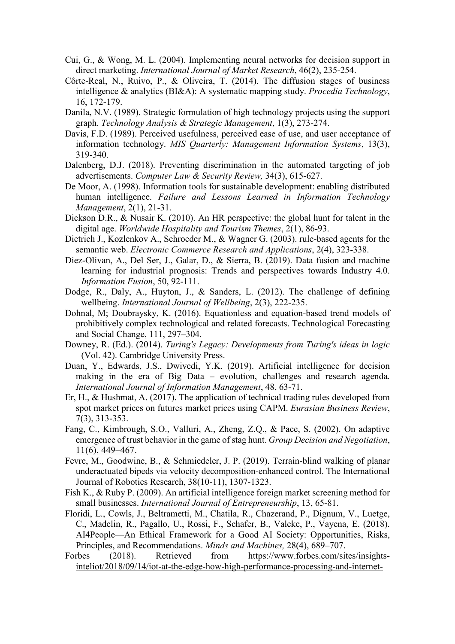- Cui, G., & Wong, M. L. (2004). Implementing neural networks for decision support in direct marketing. *International Journal of Market Research*, 46(2), 235-254.
- Côrte-Real, N., Ruivo, P., & Oliveira, T. (2014). The diffusion stages of business intelligence & analytics (BI&A): A systematic mapping study. *Procedia Technology*, 16, 172-179.
- Danila, N.V. (1989). Strategic formulation of high technology projects using the support graph. *Technology Analysis & Strategic Management*, 1(3), 273-274.
- Davis, F.D. (1989). Perceived usefulness, perceived ease of use, and user acceptance of information technology. *MIS Quarterly: Management Information Systems*, 13(3), 319-340.
- Dalenberg, D.J. (2018). Preventing discrimination in the automated targeting of job advertisements. *C[omputer Law & Security Review,](https://www.sciencedirect.com/science/journal/02673649)* 34(3), 615-627.
- De Moor, A. (1998). Information tools for sustainable development: enabling distributed human intelligence. *Failure and Lessons Learned in Information Technology Management*, 2(1), 21-31.
- Dickson D.R., & Nusair K. (2010). An HR perspective: the global hunt for talent in the digital age. *Worldwide Hospitality and Tourism Themes*, 2(1), 86-93.
- Dietrich J., Kozlenkov A., Schroeder M., & Wagner G. (2003). rule-based agents for the semantic web. *Electronic Commerce Research and Applications*, 2(4), 323-338.
- Diez-Olivan, A., Del Ser, J., Galar, D., & Sierra, B. (2019). Data fusion and machine learning for industrial prognosis: Trends and perspectives towards Industry 4.0. *Information Fusion*, 50, 92-111.
- Dodge, R., Daly, A., Huyton, J., & Sanders, L. (2012). The challenge of defining wellbeing. *International Journal of Wellbeing*, 2(3), 222-235.
- Dohnal, M; Doubraysky, K. (2016). Equationless and equation-based trend models of prohibitively complex technological and related forecasts. Technological Forecasting and Social Change, 111, 297–304.
- Downey, R. (Ed.). (2014). *Turing's Legacy: Developments from Turing's ideas in logic* (Vol. 42). Cambridge University Press.
- Duan, Y., Edwards, J.S., Dwivedi, Y.K. (2019). Artificial intelligence for decision making in the era of Big Data – evolution, challenges and research agenda. *International Journal of Information Management*, 48, 63-71.
- Er, H., & Hushmat, A. (2017). The application of technical trading rules developed from spot market prices on futures market prices using CAPM. *Eurasian Business Review*, 7(3), 313-353.
- Fang, C., Kimbrough, S.O., Valluri, A., Zheng, Z.Q., & Pace, S. (2002). On adaptive emergence of trust behavior in the game of stag hunt. *Group Decision and Negotiation*, 11(6), 449–467.
- Fevre, M., Goodwine, B., & Schmiedeler, J. P. (2019). Terrain-blind walking of planar underactuated bipeds via velocity decomposition-enhanced control. The International Journal of Robotics Research, 38(10-11), 1307-1323.
- Fish K., & Ruby P. (2009). An artificial intelligence foreign market screening method for small businesses. *International Journal of Entrepreneurship*, 13, 65-81.
- Floridi, L., Cowls, J., Beltrametti, M., Chatila, R., Chazerand, P., Dignum, V., Luetge, C., Madelin, R., Pagallo, U., Rossi, F., Schafer, B., Valcke, P., Vayena, E. (2018). AI4People—An Ethical Framework for a Good AI Society: Opportunities, Risks, Principles, and Recommendations. *Minds and Machines,* 28(4), 689–707.
- Forbes (2018). Retrieved from [https://www.forbes.com/sites/insights](https://www.forbes.com/sites/insights-inteliot/2018/09/14/iot-at-the-edge-how-high-performance-processing-and-internet-productivity-are-changing-businesses-worldwide/#3255d1f97f1d)[inteliot/2018/09/14/iot-at-the-edge-how-high-performance-processing-and-internet-](https://www.forbes.com/sites/insights-inteliot/2018/09/14/iot-at-the-edge-how-high-performance-processing-and-internet-productivity-are-changing-businesses-worldwide/#3255d1f97f1d)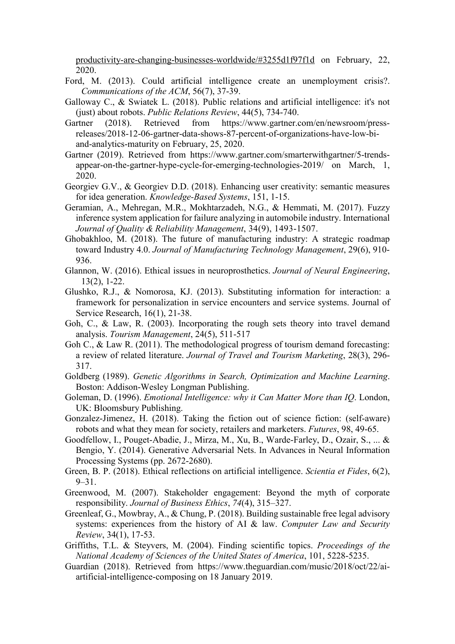[productivity-are-changing-businesses-worldwide/#3255d1f97f1d](https://www.forbes.com/sites/insights-inteliot/2018/09/14/iot-at-the-edge-how-high-performance-processing-and-internet-productivity-are-changing-businesses-worldwide/#3255d1f97f1d) on February, 22, 2020.

- Ford, M. (2013). Could artificial intelligence create an unemployment crisis?. *Communications of the ACM*, 56(7), 37-39.
- Galloway C., & Swiatek L. (2018). Public relations and artificial intelligence: it's not (just) about robots. *Public Relations Review*, 44(5), 734-740.
- Gartner (2018). Retrieved from https://www.gartner.com/en/newsroom/pressreleases/2018-12-06-gartner-data-shows-87-percent-of-organizations-have-low-biand-analytics-maturity on February, 25, 2020.
- Gartner (2019). Retrieved from https://www.gartner.com/smarterwithgartner/5-trendsappear-on-the-gartner-hype-cycle-for-emerging-technologies-2019/ on March, 1, 2020.
- Georgiev G.V., & Georgiev D.D. (2018). Enhancing user creativity: semantic measures for idea generation. *Knowledge-Based Systems*, 151, 1-15.
- Geramian, A., Mehregan, M.R., Mokhtarzadeh, N.G., & Hemmati, M. (2017). Fuzzy inference system application for failure analyzing in automobile industry. International *Journal of Quality & Reliability Management*, 34(9), 1493-1507.
- Ghobakhloo, M. (2018). The future of manufacturing industry: A strategic roadmap toward Industry 4.0. *Journal of Manufacturing Technology Management*, 29(6), 910- 936.
- Glannon, W. (2016). Ethical issues in neuroprosthetics. *Journal of Neural Engineering*, 13(2), 1-22.
- Glushko, R.J., & Nomorosa, KJ. (2013). Substituting information for interaction: a framework for personalization in service encounters and service systems. Journal of Service Research, 16(1), 21-38.
- Goh, C., & Law, R. (2003). Incorporating the rough sets theory into travel demand analysis. *Tourism Management*, 24(5), 511-517
- Goh C., & Law R. (2011). The methodological progress of tourism demand forecasting: a review of related literature. *Journal of Travel and Tourism Marketing*, 28(3), 296- 317.
- Goldberg (1989). *Genetic Algorithms in Search, Optimization and Machine Learning*. Boston: Addison-Wesley Longman Publishing.
- Goleman, D. (1996). *Emotional Intelligence: why it Can Matter More than IQ*. London, UK: Bloomsbury Publishing.
- Gonzalez-Jimenez, H. (2018). Taking the fiction out of science fiction: (self-aware) robots and what they mean for society, retailers and marketers. *Futures*, 98, 49-65.
- Goodfellow, I., Pouget-Abadie, J., Mirza, M., Xu, B., Warde-Farley, D., Ozair, S., ... & Bengio, Y. (2014). Generative Adversarial Nets. In Advances in Neural Information Processing Systems (pp. 2672-2680).
- Green, B. P. (2018). Ethical reflections on artificial intelligence. *Scientia et Fides*, 6(2), 9–31.
- Greenwood, M. (2007). Stakeholder engagement: Beyond the myth of corporate responsibility. *Journal of Business Ethics*, *74*(4), 315–327.
- Greenleaf, G., Mowbray, A., & Chung, P. (2018). Building sustainable free legal advisory systems: experiences from the history of AI & law. *Computer Law and Security Review*, 34(1), 17-53.
- Griffiths, T.L. & Steyvers, M. (2004). Finding scientific topics. *Proceedings of the National Academy of Sciences of the United States of America*, 101, 5228-5235.
- Guardian (2018). Retrieved from [https://www.theguardian.com/music/2018/oct/22/ai](https://www.theguardian.com/music/2018/oct/22/ai-artificial-intelligence-composing)[artificial-intelligence-composing](https://www.theguardian.com/music/2018/oct/22/ai-artificial-intelligence-composing) on 18 January 2019.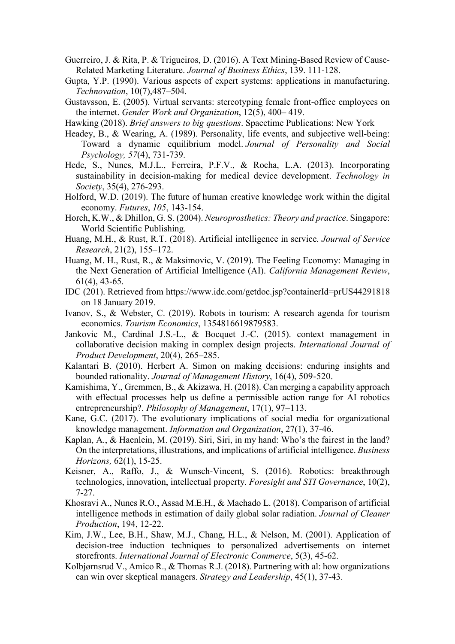- Guerreiro, J. & Rita, P. & Trigueiros, D. (2016). A Text Mining-Based Review of Cause-Related Marketing Literature. *Journal of Business Ethics*, 139. 111-128.
- Gupta, Y.P. (1990). Various aspects of expert systems: applications in manufacturing. *Technovation*, 10(7),487–504.
- Gustavsson, E. (2005). Virtual servants: stereotyping female front-office employees on the internet. *Gender Work and Organization*, 12(5), 400– 419.
- Hawking (2018). *Brief answers to big questions*. Spacetime Publications: New York
- Headey, B., & Wearing, A. (1989). Personality, life events, and subjective well-being: Toward a dynamic equilibrium model. *Journal of Personality and Social Psychology, 57*(4), 731-739.
- Hede, S., Nunes, M.J.L., Ferreira, P.F.V., & Rocha, L.A. (2013). Incorporating sustainability in decision-making for medical device development. *Technology in Society*, [35\(4\)](https://www.sciencedirect.com/science/journal/0160791X/35/4), 276-293.
- Holford, W.D. (2019). The future of human creative knowledge work within the digital economy. *Futures*, *105*, 143-154.
- Horch, K.W., & Dhillon, G. S. (2004). *Neuroprosthetics: Theory and practice*. Singapore: World Scientific Publishing.
- Huang, M.H., & Rust, R.T. (2018). Artificial intelligence in service. *Journal of Service Research*, 21(2), 155–172.
- Huang, M. H., Rust, R., & Maksimovic, V. (2019). The Feeling Economy: Managing in the Next Generation of Artificial Intelligence (AI). *California Management Review*, 61(4), 43-65.
- IDC (201). Retrieved from<https://www.idc.com/getdoc.jsp?containerId=prUS44291818> on 18 January 2019.
- Ivanov, S., & Webster, C. (2019). Robots in tourism: A research agenda for tourism economics. *Tourism Economics*, 1354816619879583.
- Jankovic M., Cardinal J.S.-L., & Bocquet J.-C. (2015). context management in collaborative decision making in complex design projects. *International Journal of Product Development*, 20(4), 265–285.
- Kalantari B. (2010). Herbert A. Simon on making decisions: enduring insights and bounded rationality. *Journal of Management History*, 16(4), 509-520.
- Kamishima, Y., Gremmen, B., & Akizawa, H. (2018). Can merging a capability approach with effectual processes help us define a permissible action range for AI robotics entrepreneurship?. *Philosophy of Management*, 17(1), 97–113.
- Kane, G.C. (2017). The evolutionary implications of social media for organizational knowledge management. *Information and Organization*, 27(1), 37-46.
- Kaplan, A., & Haenlein, M. (2019). Siri, Siri, in my hand: Who's the fairest in the land? On the interpretations, illustrations, and implications of artificial intelligence. *Business Horizons,* 62(1), 15-25.
- Keisner, A., Raffo, J., & Wunsch-Vincent, S. (2016). Robotics: breakthrough technologies, innovation, intellectual property. *Foresight and STI Governance*, 10(2), 7-27.
- Khosravi A., Nunes R.O., Assad M.E.H., & Machado L. (2018). Comparison of artificial intelligence methods in estimation of daily global solar radiation. *Journal of Cleaner Production*, 194, 12-22.
- Kim, J.W., Lee, B.H., Shaw, M.J., Chang, H.L., & Nelson, M. (2001). Application of decision-tree induction techniques to personalized advertisements on internet storefronts. *International Journal of Electronic Commerce*, 5(3), 45-62.
- Kolbjørnsrud V., Amico R., & Thomas R.J. (2018). Partnering with al: how organizations can win over skeptical managers. *Strategy and Leadership*, 45(1), 37-43.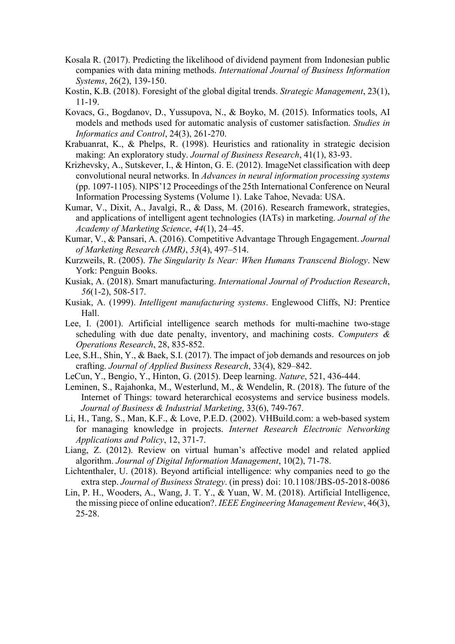- Kosala R. (2017). Predicting the likelihood of dividend payment from Indonesian public companies with data mining methods. *International Journal of Business Information Systems*, 26(2), 139-150.
- Kostin, K.B. (2018). Foresight of the global digital trends. *Strategic Management*, 23(1), 11-19.
- Kovacs, G., Bogdanov, D., Yussupova, N., & Boyko, M. (2015). Informatics tools, AI models and methods used for automatic analysis of customer satisfaction. *Studies in Informatics and Control*, 24(3), 261-270.
- Krabuanrat, K., & Phelps, R. (1998). Heuristics and rationality in strategic decision making: An exploratory study. *Journal of Business Research*, 41(1), 83-93.
- Krizhevsky, A., Sutskever, I., & Hinton, G. E. (2012). ImageNet classification with deep convolutional neural networks. In *Advances in neural information processing systems* (pp. 1097-1105). NIPS'12 Proceedings of the 25th International Conference on Neural Information Processing Systems (Volume 1). Lake Tahoe, Nevada: USA.
- Kumar, V., Dixit, A., Javalgi, R., & Dass, M. (2016). Research framework, strategies, and applications of intelligent agent technologies (IATs) in marketing. *Journal of the Academy of Marketing Science*, *44*(1), 24–45.
- Kumar, V., & Pansari, A. (2016). Competitive Advantage Through Engagement. *Journal of Marketing Research (JMR)*, *53*(4), 497–514.
- Kurzweils, R. (2005). *The Singularity Is Near: When Humans Transcend Biology*. New York: Penguin Books.
- Kusiak, A. (2018). Smart manufacturing. *International Journal of Production Research*, *56*(1-2), 508-517.
- Kusiak, A. (1999). *Intelligent manufacturing systems*. Englewood Cliffs, NJ: Prentice Hall.
- Lee, I. (2001). Artificial intelligence search methods for multi-machine two-stage scheduling with due date penalty, inventory, and machining costs. *Computers & Operations Research*, 28, 835-852.
- Lee, S.H., Shin, Y., & Baek, S.I. (2017). The impact of job demands and resources on job crafting. *Journal of Applied Business Research*, 33(4), 829–842.
- LeCun, Y., Bengio, Y., Hinton, G. (2015). Deep learning. *Nature*, 521, 436-444.
- Leminen, S., Rajahonka, M., Westerlund, M., & Wendelin, R. (2018). The future of the Internet of Things: toward heterarchical ecosystems and service business models. *Journal of Business & Industrial Marketing*, 33(6), 749-767.
- Li, H., Tang, S., Man, K.F., & Love, P.E.D. (2002). VHBuild.com: a web-based system for managing knowledge in projects. *Internet Research Electronic Networking Applications and Policy*, 12, 371-7.
- Liang, Z. (2012). Review on virtual human's affective model and related applied algorithm. *Journal of Digital Information Management*, 10(2), 71-78.
- Lichtenthaler, U. (2018). Beyond artificial intelligence: why companies need to go the extra step. *Journal of Business Strategy*. (in press) [doi: 10.1108/JBS-05-2018-0086](https://doi.org/10.1108/JBS-05-2018-0086)
- Lin, P. H., Wooders, A., Wang, J. T. Y., & Yuan, W. M. (2018). Artificial Intelligence, the missing piece of online education?. *IEEE Engineering Management Review*, 46(3), 25-28.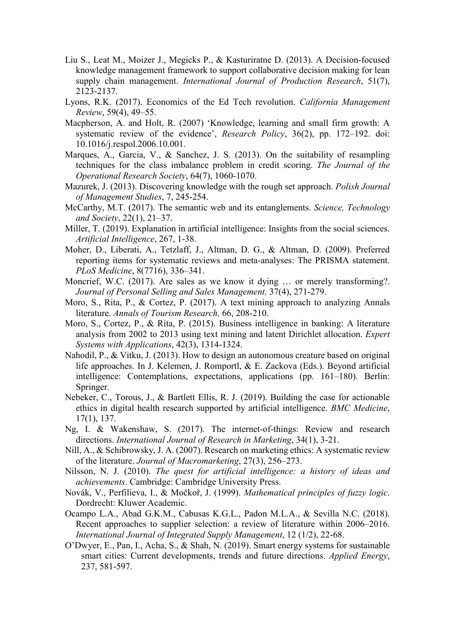- Liu S., Leat M., Moizer J., Megicks P., & Kasturiratne D. (2013). A Decision-focused knowledge management framework to support collaborative decision making for lean supply chain management. *International Journal of Production Research*, 51(7), 2123-2137.
- Lyons, R.K. (2017). Economics of the Ed Tech revolution. *California Management Review*, 59(4), 49–55.
- Macpherson, A. and Holt, R. (2007) 'Knowledge, learning and small firm growth: A systematic review of the evidence', *Research Policy*, 36(2), pp. 172–192. doi: 10.1016/j.respol.2006.10.001.
- Marques, A., Garcia, V., & Sanchez, J. S. (2013). On the suitability of resampling techniques for the class imbalance problem in credit scoring. *The Journal of the Operational Research Society*, 64(7), 1060-1070.
- Mazurek, J. (2013). Discovering knowledge with the rough set approach. *Polish Journal of Management Studies*, 7, 245-254.
- McCarthy, M.T. (2017). The semantic web and its entanglements. *[Science, Technology](https://journals.sagepub.com/home/sts)  and Society*[, 22\(1\), 21–37.](https://journals.sagepub.com/home/sts)
- Miller, T. (2019). Explanation in artificial intelligence: Insights from the social sciences. *Artificial Intelligence*, 267, 1-38.
- Moher, D., Liberati, A., Tetzlaff, J., Altman, D. G., & Altman, D. (2009). Preferred reporting items for systematic reviews and meta-analyses: The PRISMA statement. *PLoS Medicine*, 8(7716), 336–341.
- Moncrief, W.C. (2017). Are sales as we know it dying … or merely transforming?. *Journal of Personal Selling and Sales Management,* 37(4), 271-279.
- Moro, S., Rita, P., & Cortez, P. (2017). A text mining approach to analyzing Annals literature. *Annals of Tourism Research,* 66, 208-210.
- Moro, S., Cortez, P., & Rita, P. (2015). Business intelligence in banking: A literature analysis from 2002 to 2013 using text mining and latent Dirichlet allocation. *Expert Systems with Applications*, 42(3), 1314-1324.
- Nahodil, P., & Vitku, J. (2013). How to design an autonomous creature based on original life approaches. In J. Kelemen, J. Romportl, & E. Zackova (Eds.). Beyond artificial intelligence: Contemplations, expectations, applications (pp. 161–180). Berlin: Springer.
- Nebeker, C., Torous, J., & Bartlett Ellis, R. J. (2019). Building the case for actionable ethics in digital health research supported by artificial intelligence. *BMC Medicine*, 17(1), 137.
- Ng, I. & Wakenshaw, S. (2017). The internet-of-things: Review and research directions. *International Journal of Research in Marketing*, 34(1), 3-21.
- Nill, A., & Schibrowsky, J. A. (2007). Research on marketing ethics: A systematic review of the literature. *Journal of Macromarketing*, 27(3), 256–273.
- Nilsson, N. J. (2010). *The quest for artificial intelligence: a history of ideas and achievements*. Cambridge: Cambridge University Press.
- Novák, V., Perfilieva, I., & Močkoř, J. (1999). *Mathematical principles of fuzzy logic*. Dordrecht: Kluwer Academic.
- Ocampo L.A., Abad G.K.M., Cabusas K.G.L., Padon M.L.A., & Sevilla N.C. (2018). Recent approaches to supplier selection: a review of literature within 2006–2016. *International Journal of Integrated Supply Management*, 12 (1/2), 22-68.
- O'Dwyer, E., Pan, I., Acha, S., & Shah, N. (2019). Smart energy systems for sustainable smart cities: Current developments, trends and future directions. *Applied Energy*, 237, 581-597.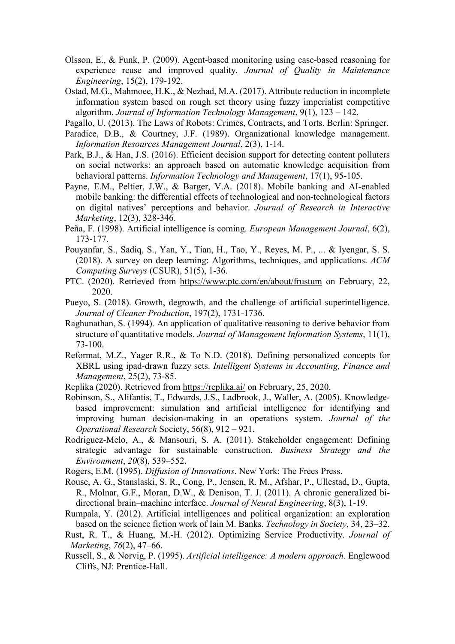- Olsson, E., & Funk, P. (2009). Agent-based monitoring using case-based reasoning for experience reuse and improved quality. *Journal of Quality in Maintenance Engineering*, 15(2), 179-192.
- Ostad, M.G., Mahmoee, H.K., & Nezhad, M.A. (2017). Attribute reduction in incomplete information system based on rough set theory using fuzzy imperialist competitive algorithm. *Journal of Information Technology Management*, 9(1), 123 – 142.
- Pagallo, U. (2013). The Laws of Robots: Crimes, Contracts, and Torts. Berlin: Springer.
- Paradice, D.B., & Courtney, J.F. (1989). Organizational knowledge management. *Information Resources Management Journal*, 2(3), 1-14.
- Park, B.J., & Han, J.S. (2016). Efficient decision support for detecting content polluters on social networks: an approach based on automatic knowledge acquisition from behavioral patterns. *Information Technology and Management*, 17(1), 95-105.
- Payne, E.M., Peltier, J.W., & Barger, V.A. (2018). Mobile banking and AI-enabled mobile banking: the differential effects of technological and non-technological factors on digital natives' perceptions and behavior. *Journal of Research in Interactive Marketing*, 12(3), 328-346.
- Peña, F. (1998). Artificial intelligence is coming. *European Management Journal*, 6(2), 173-177.
- Pouyanfar, S., Sadiq, S., Yan, Y., Tian, H., Tao, Y., Reyes, M. P., ... & Iyengar, S. S. (2018). A survey on deep learning: Algorithms, techniques, and applications. *ACM Computing Surveys* (CSUR), 51(5), 1-36.
- PTC. (2020). Retrieved from<https://www.ptc.com/en/about/frustum> on February, 22, 2020.
- Pueyo, S. (2018). Growth, degrowth, and the challenge of artificial superintelligence. *Journal of Cleaner Production*, 197(2), 1731-1736.
- Raghunathan, S. (1994). An application of qualitative reasoning to derive behavior from structure of quantitative models. *Journal of Management Information Systems*, 11(1), 73-100.
- Reformat, M.Z., Yager R.R., & To N.D. (2018). Defining personalized concepts for XBRL using ipad-drawn fuzzy sets. *Intelligent Systems in Accounting, Finance and Management*, 25(2), 73-85.
- Replika (2020). Retrieved from<https://replika.ai/> on February, 25, 2020.
- Robinson, S., Alifantis, T., Edwards, J.S., Ladbrook, J., Waller, A. (2005). Knowledgebased improvement: simulation and artificial intelligence for identifying and improving human decision-making in an operations system. *Journal of the Operational Research* Society, 56(8), 912 – 921.
- Rodriguez‐Melo, A., & Mansouri, S. A. (2011). Stakeholder engagement: Defining strategic advantage for sustainable construction. *Business Strategy and the Environment*, *20*(8), 539–552.
- Rogers, E.M. (1995). *Diffusion of Innovations*. New York: The Frees Press.
- Rouse, A. G., Stanslaski, S. R., Cong, P., Jensen, R. M., Afshar, P., Ullestad, D., Gupta, R., Molnar, G.F., Moran, D.W., & Denison, T. J. (2011). A chronic generalized bidirectional brain–machine interface. *Journal of Neural Engineering*, 8(3), 1-19.
- Rumpala, Y. (2012). Artificial intelligences and political organization: an exploration based on the science fiction work of Iain M. Banks. *Technology in Society*, 34, 23–32.
- Rust, R. T., & Huang, M.-H. (2012). Optimizing Service Productivity. *Journal of Marketing*, *76*(2), 47–66.
- Russell, S., & Norvig, P. (1995). *Artificial intelligence: A modern approach*. Englewood Cliffs, NJ: Prentice-Hall.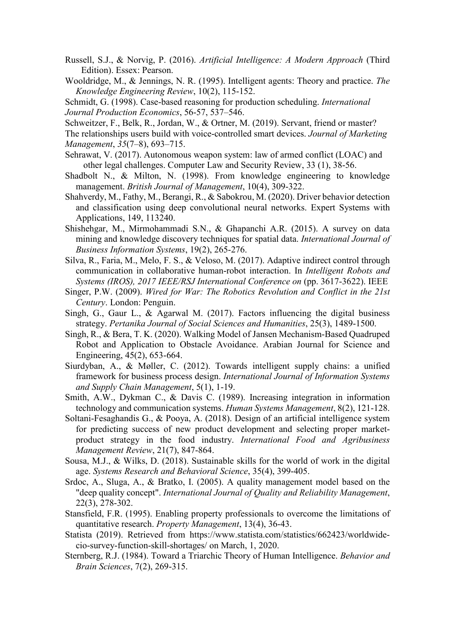- Russell, S.J., & Norvig, P. (2016). *Artificial Intelligence: A Modern Approach* (Third Edition). Essex: Pearson.
- Wooldridge, M., & Jennings, N. R. (1995). Intelligent agents: Theory and practice. *The Knowledge Engineering Review*, 10(2), 115-152.

Schmidt, G. (1998). Case-based reasoning for production scheduling. *International Journal Production Economics*, 56-57, 537–546.

Schweitzer, F., Belk, R., Jordan, W., & Ortner, M. (2019). Servant, friend or master?

- The relationships users build with voice-controlled smart devices. *Journal of Marketing Management*, *35*(7–8), 693–715.
- Sehrawat, V. (2017). Autonomous weapon system: law of armed conflict (LOAC) and other legal challenges. Computer Law and Security Review, 33 (1), 38-56.
- Shadbolt N., & Milton, N. (1998). From knowledge engineering to knowledge management. *British Journal of Management*, 10(4), 309-322.
- Shahverdy, M., Fathy, M., Berangi, R., & Sabokrou, M. (2020). Driver behavior detection and classification using deep convolutional neural networks. Expert Systems with Applications, 149, 113240.
- Shishehgar, M., Mirmohammadi S.N., & Ghapanchi A.R. (2015). A survey on data mining and knowledge discovery techniques for spatial data. *International Journal of Business Information Systems*, 19(2), 265-276.
- Silva, R., Faria, M., Melo, F. S., & Veloso, M. (2017). Adaptive indirect control through communication in collaborative human-robot interaction. In *Intelligent Robots and Systems (IROS), 2017 IEEE/RSJ International Conference on* (pp. 3617-3622). IEEE
- Singer, P.W. (2009). *Wired for War: The Robotics Revolution and Conflict in the 21st Century*. London: Penguin.
- Singh, G., Gaur L., & Agarwal M. (2017). Factors influencing the digital business strategy. *Pertanika Journal of Social Sciences and Humanities*, 25(3), 1489-1500.
- Singh, R., & Bera, T. K. (2020). Walking Model of Jansen Mechanism-Based Quadruped Robot and Application to Obstacle Avoidance. Arabian Journal for Science and Engineering, 45(2), 653-664.
- Siurdyban, A., & Møller, C. (2012). Towards intelligent supply chains: a unified framework for business process design. *International Journal of Information Systems and Supply Chain Management*, 5(1), 1-19.
- Smith, A.W., Dykman C., & Davis C. (1989). Increasing integration in information technology and communication systems. *Human Systems Management*, 8(2), 121-128.
- Soltani-Fesaghandis G., & Pooya, A. (2018). Design of an artificial intelligence system for predicting success of new product development and selecting proper marketproduct strategy in the food industry. *International Food and Agribusiness Management Review*, 21(7), 847-864.
- Sousa, M.J., & Wilks, D. (2018). Sustainable skills for the world of work in the digital age. *Systems Research and Behavioral Science*, 35(4), 399-405.
- Srdoc, A., Sluga, A., & Bratko, I. (2005). A quality management model based on the "deep quality concept". *International Journal of Quality and Reliability Management*, 22(3), 278-302.
- Stansfield, F.R. (1995). Enabling property professionals to overcome the limitations of quantitative research. *Property Management*, 13(4), 36-43.
- Statista (2019). Retrieved from https://www.statista.com/statistics/662423/worldwidecio-survey-function-skill-shortages/ on March, 1, 2020.
- Sternberg, R.J. (1984). Toward a Triarchic Theory of Human Intelligence. *Behavior and Brain Sciences*, 7(2), 269-315.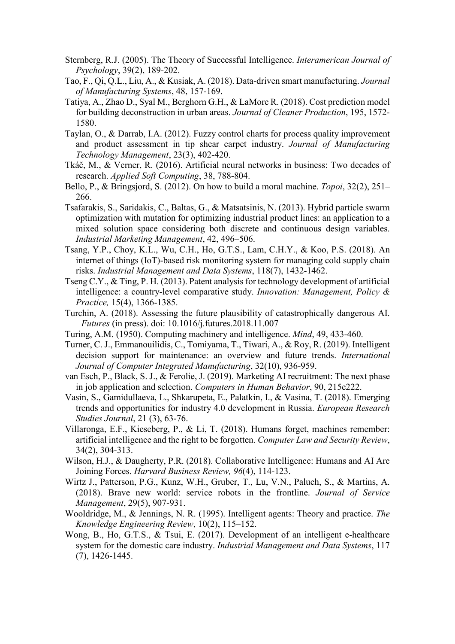- Sternberg, R.J. (2005). The Theory of Successful Intelligence. *Interamerican Journal of Psychology*, 39(2), 189-202.
- Tao, F., Qi, Q.L., Liu, A., & Kusiak, A. (2018). Data-driven smart manufacturing. *Journal of Manufacturing Systems*, 48, 157-169.
- Tatiya, A., Zhao D., Syal M., Berghorn G.H., & LaMore R. (2018). Cost prediction model for building deconstruction in urban areas. *Journal of Cleaner Production*, 195, 1572- 1580.
- Taylan, O., & Darrab, I.A. (2012). Fuzzy control charts for process quality improvement and product assessment in tip shear carpet industry. *Journal of Manufacturing Technology Management*, 23(3), 402-420.
- Tkáč, M., & Verner, R. (2016). Artificial neural networks in business: Two decades of research. *Applied Soft Computing*, 38, 788-804.
- Bello, P., & Bringsjord, S. (2012). On how to build a moral machine. *Topoi*, 32(2), 251– 266.
- Tsafarakis, S., Saridakis, C., Baltas, G., & Matsatsinis, N. (2013). Hybrid particle swarm optimization with mutation for optimizing industrial product lines: an application to a mixed solution space considering both discrete and continuous design variables. *Industrial Marketing Management*, 42, 496–506.
- Tsang, Y.P., Choy, K.L., Wu, C.H., Ho, G.T.S., Lam, C.H.Y., & Koo, P.S. (2018). An internet of things (IoT)-based risk monitoring system for managing cold supply chain risks. *Industrial Management and Data Systems*, 118(7), 1432-1462.
- Tseng C.Y., & Ting, P. H. (2013). Patent analysis for technology development of artificial intelligence: a country-level comparative study. *Innovation: Management, Policy & Practice,* 15(4), 1366-1385.
- Turchin, A. (2018). Assessing the future plausibility of catastrophically dangerous AI. *Futures* (in press). doi: 10.1016/j.futures.2018.11.007
- Turing, A.M. (1950). Computing machinery and intelligence. *Mind*, 49, 433-460.
- Turner, C. J., Emmanouilidis, C., Tomiyama, T., Tiwari, A., & Roy, R. (2019). Intelligent decision support for maintenance: an overview and future trends. *International Journal of Computer Integrated Manufacturing*, 32(10), 936-959.
- van Esch, P., Black, S. J., & Ferolie, J. (2019). Marketing AI recruitment: The next phase in job application and selection. *Computers in Human Behavior*, 90, 215e222.
- Vasin, S., Gamidullaeva, L., Shkarupeta, E., Palatkin, I., & Vasina, T. (2018). Emerging trends and opportunities for industry 4.0 development in Russia. *European Research Studies Journal*, 21 (3), 63-76.
- Villaronga, E.F., Kieseberg, P., & Li, T. (2018). Humans forget, machines remember: artificial intelligence and the right to be forgotten. *Computer Law and Security Review*, 34(2), 304-313.
- Wilson, H.J., & Daugherty, P.R. (2018). Collaborative Intelligence: Humans and AI Are Joining Forces. *Harvard Business Review, 96*(4), 114-123.
- Wirtz J., Patterson, P.G., Kunz, W.H., Gruber, T., Lu, V.N., Paluch, S., & Martins, A. (2018). Brave new world: service robots in the frontline. *Journal of Service Management*, 29(5), 907-931.
- Wooldridge, M., & Jennings, N. R. (1995). Intelligent agents: Theory and practice. *The Knowledge Engineering Review*, 10(2), 115–152.
- Wong, B., Ho, G.T.S., & Tsui, E. (2017). Development of an intelligent e-healthcare system for the domestic care industry. *Industrial Management and Data Systems*, 117 (7), 1426-1445.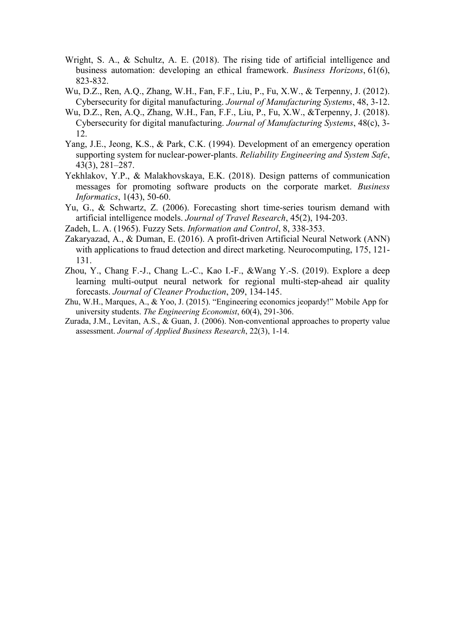- Wright, S. A., & Schultz, A. E. (2018). The rising tide of artificial intelligence and business automation: developing an ethical framework. *Business Horizons*, 61(6), 823-832.
- Wu, D.Z., Ren, A.Q., Zhang, W.H., Fan, F.F., Liu, P., Fu, X.W., & Terpenny, J. (2012). Cybersecurity for digital manufacturing. *Journal of Manufacturing Systems*, 48, 3-12.
- Wu, D.Z., Ren, A.Q., Zhang, W.H., Fan, F.F., Liu, P., Fu, X.W., &Terpenny, J. (2018). Cybersecurity for digital manufacturing. *Journal of Manufacturing Systems*, 48(c), 3- 12.
- Yang, J.E., Jeong, K.S., & Park, C.K. (1994). Development of an emergency operation supporting system for nuclear-power-plants. *Reliability Engineering and System Safe*, 43(3), 281–287.
- Yekhlakov, Y.P., & Malakhovskaya, E.K. (2018). Design patterns of communication messages for promoting software products on the corporate market. *Business Informatics*, 1(43), 50-60.
- Yu, G., & Schwartz, Z. (2006). Forecasting short time-series tourism demand with artificial intelligence models. *Journal of Travel Research*, 45(2), 194-203.
- Zadeh, L. A. (1965). Fuzzy Sets. *Information and Control*, 8, 338-353.
- Zakaryazad, A., & Duman, E. (2016). A profit-driven Artificial Neural Network (ANN) with applications to fraud detection and direct marketing. Neurocomputing, 175, 121- 131.
- Zhou, Y., Chang F.-J., Chang L.-C., Kao I.-F., &Wang Y.-S. (2019). Explore a deep learning multi-output neural network for regional multi-step-ahead air quality forecasts. *Journal of Cleaner Production*, 209, 134-145.
- Zhu, W.H., Marques, A., & Yoo, J. (2015). "Engineering economics jeopardy!" Mobile App for university students. *The Engineering Economist*, 60(4), 291-306.
- Zurada, J.M., Levitan, A.S., & Guan, J. (2006). Non-conventional approaches to property value assessment. *Journal of Applied Business Research*, 22(3), 1-14.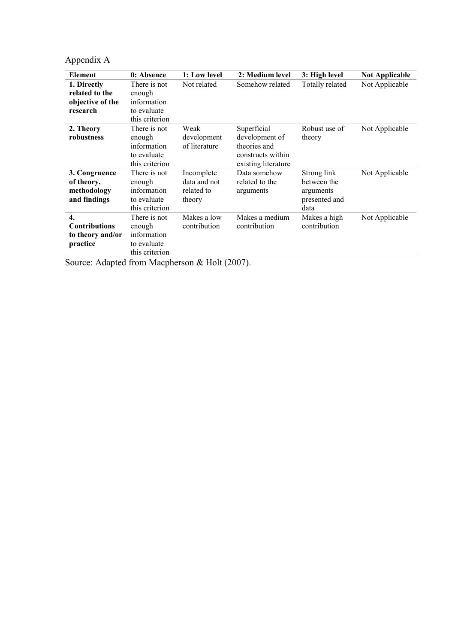Appendix A

| Element              | 0: Absence     | 1: Low level  | 2: Medium level     | 3: High level   | <b>Not Applicable</b> |
|----------------------|----------------|---------------|---------------------|-----------------|-----------------------|
| 1. Directly          | There is not   | Not related   | Somehow related     | Totally related | Not Applicable        |
| related to the       | enough         |               |                     |                 |                       |
| objective of the     | information    |               |                     |                 |                       |
| research             | to evaluate    |               |                     |                 |                       |
|                      | this criterion |               |                     |                 |                       |
| 2. Theory            | There is not   | Weak          | Superficial         | Robust use of   | Not Applicable        |
| robustness           | enough         | development   | development of      | theory          |                       |
|                      | information    | of literature | theories and        |                 |                       |
|                      | to evaluate    |               | constructs within   |                 |                       |
|                      | this criterion |               | existing literature |                 |                       |
| 3. Congruence        | There is not   | Incomplete    | Data somehow        | Strong link     | Not Applicable        |
| of theory,           | enough         | data and not  | related to the      | between the     |                       |
| methodology          | information    | related to    | arguments           | arguments       |                       |
| and findings         | to evaluate    | theory        |                     | presented and   |                       |
|                      | this criterion |               |                     | data            |                       |
| $\overline{4}$ .     | There is not   | Makes a low   | Makes a medium      | Makes a high    | Not Applicable        |
| <b>Contributions</b> | enough         | contribution  | contribution        | contribution    |                       |
| to theory and/or     | information    |               |                     |                 |                       |
| practice             | to evaluate    |               |                     |                 |                       |
|                      | this criterion |               |                     |                 |                       |

Source: Adapted from Macpherson & Holt (2007).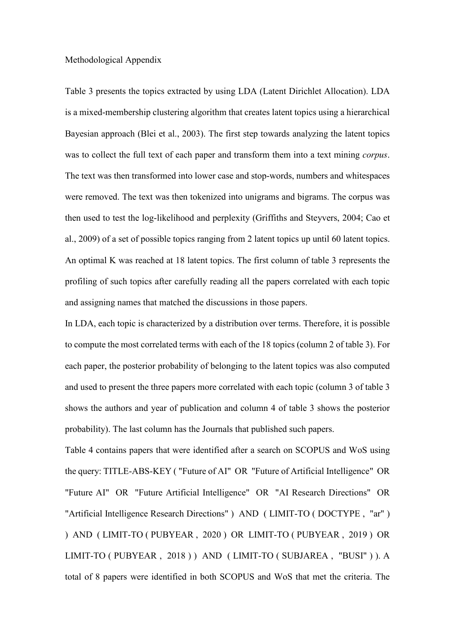#### Methodological Appendix

Table 3 presents the topics extracted by using LDA (Latent Dirichlet Allocation). LDA is a mixed-membership clustering algorithm that creates latent topics using a hierarchical Bayesian approach (Blei et al., 2003). The first step towards analyzing the latent topics was to collect the full text of each paper and transform them into a text mining *corpus*. The text was then transformed into lower case and stop-words, numbers and whitespaces were removed. The text was then tokenized into unigrams and bigrams. The corpus was then used to test the log-likelihood and perplexity (Griffiths and Steyvers, 2004; Cao et al., 2009) of a set of possible topics ranging from 2 latent topics up until 60 latent topics. An optimal K was reached at 18 latent topics. The first column of table 3 represents the profiling of such topics after carefully reading all the papers correlated with each topic and assigning names that matched the discussions in those papers.

In LDA, each topic is characterized by a distribution over terms. Therefore, it is possible to compute the most correlated terms with each of the 18 topics (column 2 of table 3). For each paper, the posterior probability of belonging to the latent topics was also computed and used to present the three papers more correlated with each topic (column 3 of table 3 shows the authors and year of publication and column 4 of table 3 shows the posterior probability). The last column has the Journals that published such papers.

Table 4 contains papers that were identified after a search on SCOPUS and WoS using the query: TITLE-ABS-KEY ( "Future of AI" OR "Future of Artificial Intelligence" OR "Future AI" OR "Future Artificial Intelligence" OR "AI Research Directions" OR "Artificial Intelligence Research Directions" ) AND ( LIMIT-TO ( DOCTYPE , "ar" ) ) AND ( LIMIT-TO ( PUBYEAR , 2020 ) OR LIMIT-TO ( PUBYEAR , 2019 ) OR LIMIT-TO ( PUBYEAR , 2018 ) ) AND ( LIMIT-TO ( SUBJAREA , "BUSI" ) ). A total of 8 papers were identified in both SCOPUS and WoS that met the criteria. The